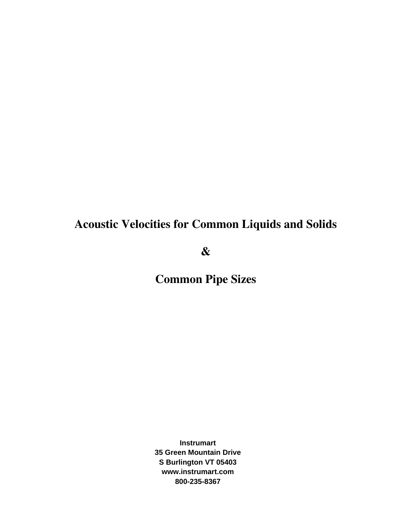## **Acoustic Velocities for Common Liquids and Solids**

**&** 

**Common Pipe Sizes** 

**Instrumart 35 Green Mountain Drive S Burlington VT 05403 www.instrumart.com 800-235-8367**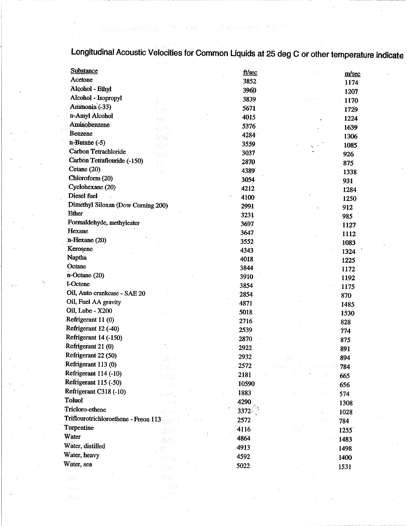i sang pangkata ito gayo Teori ne dan kitin na nama sang tini dan kara

Longitudinal Acoustic Velocities for Common Liquids at 25 deg C or other temperature indicate

| <b>Substance</b>                     |                      | ft/sec |                         |               |
|--------------------------------------|----------------------|--------|-------------------------|---------------|
| Acetone                              |                      | 3852   |                         | m/sec<br>1174 |
| Alcohol - Ethyl                      |                      | 3960   |                         |               |
| Alcohol - Isopropyl                  |                      | 3839   |                         | 1207          |
| Ammonia (-33)                        |                      | 5671   |                         | 1170          |
| n-Amyl Alcohol                       |                      | 4015   |                         | 1729          |
| Aminobenzene                         | $Q\bar{Q}\bar{Q}$ vs | 5376   |                         | 1224          |
| Benzene                              | 6.78                 | 4284   |                         | 1639          |
| $n$ -Butane $(-5)$                   | enar                 | 3559   |                         | 1306          |
| Carbon Tetrachloride                 | Alian<br>Naskar      | 3037   |                         | 1085          |
| Carbon Tetraflouride (-150)          | 보도                   | 2870   |                         | 926           |
| Cetane $(20)$                        | tyk i                | 4389   |                         | 875           |
| Chloroform (20)                      | e Java               | 3054   |                         | 1338          |
| Cyclohexane (20)                     |                      | 4212   |                         | 931<br>1284   |
| Diesel fuel                          |                      | 4100   |                         | 1250          |
| Dimethyl Siloxan (Dow Corning 200)   |                      | 2991   |                         | 912           |
| Ether                                |                      | 3231   |                         | 985           |
| Formaldehyde, methylester            |                      | 3697   |                         | 1127          |
| Hexane                               |                      | 3647   |                         | 1112          |
| n-Hexane (20)                        |                      | 3552   |                         | 1083          |
| Kerosene                             |                      | 4343   | $\mathbb{Z}_2^{\times}$ | 1324          |
| Naptha                               |                      | 4018   |                         | 1225          |
| Octane                               |                      | 3844   |                         | 1172          |
| $n$ -Octane (20)                     |                      | 3910   |                         | 1192          |
| 1-Octene                             |                      | 3854   |                         | 1175          |
| Oil, Auto crankcase - SAE 20         |                      | 2854   |                         | 870           |
| Oil, Fuel AA gravity                 |                      | 4871   |                         | 1485          |
| Oil, Lube - X200                     |                      | 5018   |                         | 1530          |
| Refrigerant 11 (0)                   |                      | 2716   |                         | 828           |
| Refrigerant 12 (-40)                 |                      | 2539   |                         | 774           |
| Refrigerant 14 (-150)                |                      | 2870   |                         | 875           |
| Refrigerant 21 (0)                   |                      | 2922   |                         | 891           |
| Refrigerant 22 (50)                  |                      | 2932   |                         | 894           |
| Refrigerant 113 (0)                  |                      | 2572   | projektik.              | 784           |
| Refrigerant 114 (-10)                |                      | 2181   |                         | 665           |
| Refrigerant 115 (-50)                |                      | 10590  |                         | 656           |
| Refrigerant C318 (-10)               |                      | 1883   |                         | 574           |
| Toluol                               |                      | 4290   |                         | 1308          |
| Tricloro-ethene                      |                      | 3372   |                         | 1028          |
| Triflourotrichloroethene - Freon 113 |                      | 2572   |                         | 784           |
| Turpentine                           |                      | 4116   |                         | 1255          |
| Water                                |                      | 4864   |                         | 1483          |
| Water, distilled                     |                      | 49.13  |                         | 1498          |
| Water, heavy                         |                      | 4592   |                         | 1400          |
| Water, sea                           | tkinda)              | 5022   |                         |               |
|                                      | 한 동안                 |        |                         | 1531          |

èn)  $\mathcal{L}^{\text{max}}_{\text{max}}$ 

éks.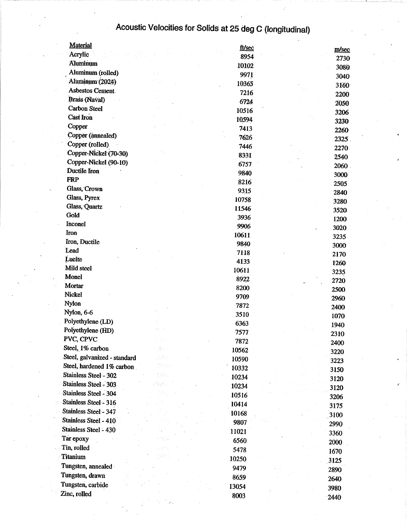# Acoustic Velocities for Solids at 25 deg C (longitudinal)

| <b>Material</b>              |               | ft/sec | m/sec   |
|------------------------------|---------------|--------|---------|
| Acrylic                      |               | 8954   | 2730    |
| <b>Aluminum</b>              |               | 10102  | 3080    |
| Aluminum (rolled)            |               | 9971   | 3040    |
| Aluminum (2024)              |               | 10365  | 3160    |
| Asbestos Cement.             |               | 7216   | 2200    |
| <b>Brass (Naval)</b>         |               | 6724   | 2050    |
| <b>Carbon Steel</b>          |               | 10516  | 3206    |
| Cast Iron                    |               | 10594  | 3230    |
| Copper                       | 81            | 7413   | 2260    |
| Copper (annealed)            |               | 7626   | 2325.   |
| Copper (rolled)              |               | 7446   | 2270    |
| Copper-Nickel (70-30)        |               | 8331   | 2540    |
| Copper-Nickel (90-10)        |               | 6757   | 2060.   |
| Ductile Iron                 |               | 9840   | 3000    |
| <b>FRP</b>                   |               | 8216   | 2505    |
| Glass, Crown                 |               | 9315   | 2840    |
| Glass, Pyrex                 |               | 10758  | 3280    |
| Glass, Quartz                |               | 11546  | 3520    |
| Gold                         |               | 3936   | 1200    |
| Inconel                      |               | 9906   | 3020    |
| Iron                         |               | 10611  | 3235    |
| Iron, Ductile                |               | 9840   | 3000    |
| Lead                         |               | 7118   | 2170    |
| Lucite                       |               | 4133   | 1260    |
| Mild steel                   |               | 10611  | 3235    |
| Monel                        |               | 8922   | 2720    |
| Mortar                       |               | 8200   | 2500    |
| Nickel                       |               | 9709   | 2960    |
| Nylon                        |               | 7872   | 2400    |
| Nylon, 6-6                   |               | 3510   | 1070    |
| Polyethylene (LD)            |               | 6363   | 1940    |
| Polyethylene (HD)            |               | 7577   | 2310    |
| PVC, CPVC                    |               | 7872   | 2400    |
| Steel, 1% carbon             | $\Delta \sim$ | 10562  | 3220    |
| Steel, galvanized - standard | A.C           | 10590  | 3223    |
| Steel, hardened 1% carbon    | 6566          | 10332  | 3150    |
| Stainless Steel - 302        | (Ris          | 10234  | 3120    |
| Stainless Steel - 303        |               | 10234  | 3120    |
| Stainless Steel - 304        |               | 10516  | 3206    |
| Stainless Steel - 316        |               | 10414  | 3175    |
| Stainless Steel - 347        |               | 10168  | 3100    |
| Stainless Steel - 410        |               | 9807   | 2990    |
| Stainless Steel - 430        |               | 11021  | 3360    |
| Tar epoxy                    | - 48          | 6560   | 2000    |
| Tin, rolled                  |               | 5478   | 1670    |
| <b>Titanium</b>              |               | 10250  | 3125    |
| Tungsten, annealed           |               | 9479   | 2890    |
| Tungsten, drawn              |               | 8659   | 2640    |
| Tungsten, carbide            |               | 13054  | 3980    |
| Zinc, rolled                 |               | 8003   | $-2440$ |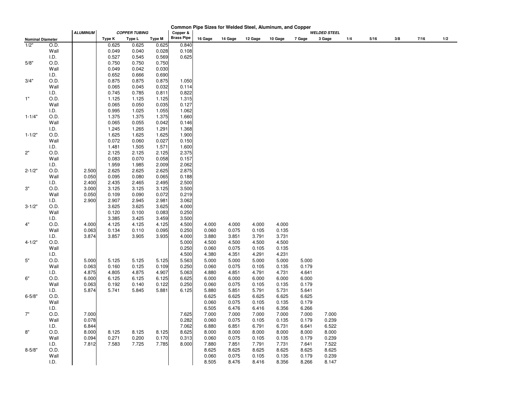|                                         |              |       |                |                |                |                   |         | Common Pipe Sizes for Welded Steel, Aluminum, and Copper |         |         |                     |        |     |      |     |      |     |
|-----------------------------------------|--------------|-------|----------------|----------------|----------------|-------------------|---------|----------------------------------------------------------|---------|---------|---------------------|--------|-----|------|-----|------|-----|
| <b>ALUMINUM</b><br><b>COPPER TUBING</b> |              |       |                |                | Copper &       |                   |         |                                                          |         |         | <b>WELDED STEEL</b> |        |     |      |     |      |     |
| <b>Nominal Diameter</b>                 |              |       | Type K         | Type L         | <b>Type M</b>  | <b>Brass Pipe</b> | 16 Gage | 14 Gage                                                  | 12 Gage | 10 Gage | 7 Gage              | 3 Gage | 1/4 | 5/16 | 3/8 | 7/16 | 1/2 |
| 1/2"                                    | O.D.         |       | 0.625          | 0.625          | 0.625          | 0.840             |         |                                                          |         |         |                     |        |     |      |     |      |     |
|                                         | Wall         |       | 0.049          | 0.040          | 0.028          | 0.108             |         |                                                          |         |         |                     |        |     |      |     |      |     |
|                                         | I.D.         |       | 0.527          | 0.545          | 0.569          | 0.625             |         |                                                          |         |         |                     |        |     |      |     |      |     |
| 5/8"                                    | O.D.         |       | 0.750          | 0.750          | 0.750          |                   |         |                                                          |         |         |                     |        |     |      |     |      |     |
|                                         | Wall         |       | 0.049          | 0.042          | 0.030          |                   |         |                                                          |         |         |                     |        |     |      |     |      |     |
|                                         | I.D.         |       | 0.652          | 0.666          | 0.690          |                   |         |                                                          |         |         |                     |        |     |      |     |      |     |
| 3/4"                                    | O.D.         |       | 0.875          | 0.875          | 0.875          | 1.050             |         |                                                          |         |         |                     |        |     |      |     |      |     |
|                                         | Wall         |       | 0.065          | 0.045          | 0.032          | 0.114             |         |                                                          |         |         |                     |        |     |      |     |      |     |
|                                         | I.D.         |       | 0.745          | 0.785          | 0.811          | 0.822             |         |                                                          |         |         |                     |        |     |      |     |      |     |
| 1"                                      | O.D.         |       | 1.125          | 1.125          | 1.125          | 1.315             |         |                                                          |         |         |                     |        |     |      |     |      |     |
|                                         | Wall         |       | 0.065          | 0.050          | 0.035          | 0.127             |         |                                                          |         |         |                     |        |     |      |     |      |     |
|                                         | I.D.         |       | 0.995          | 1.025          | 1.055          | 1.062             |         |                                                          |         |         |                     |        |     |      |     |      |     |
| $1 - 1/4"$                              | O.D.         |       | 1.375          | 1.375          | 1.375          | 1.660             |         |                                                          |         |         |                     |        |     |      |     |      |     |
|                                         | Wall         |       | 0.065          | 0.055          | 0.042          | 0.146             |         |                                                          |         |         |                     |        |     |      |     |      |     |
|                                         | I.D.         |       | 1.245          | 1.265          | 1.291          | 1.368             |         |                                                          |         |         |                     |        |     |      |     |      |     |
| $1 - 1/2"$                              | O.D.         |       | 1.625          | 1.625          | 1.625          | 1.900             |         |                                                          |         |         |                     |        |     |      |     |      |     |
|                                         | Wall         |       | 0.072          | 0.060          | 0.027          | 0.150             |         |                                                          |         |         |                     |        |     |      |     |      |     |
|                                         | I.D.         |       | 1.481          | 1.505          | 1.571          | 1.600             |         |                                                          |         |         |                     |        |     |      |     |      |     |
| 2"                                      | O.D.         |       | 2.125          | 2.125          | 2.125          | 2.375             |         |                                                          |         |         |                     |        |     |      |     |      |     |
|                                         | Wall         |       | 0.083          | 0.070          | 0.058          | 0.157             |         |                                                          |         |         |                     |        |     |      |     |      |     |
|                                         | I.D.         |       | 1.959          | 1.985          | 2.009          | 2.062             |         |                                                          |         |         |                     |        |     |      |     |      |     |
| $2 - 1/2"$                              | O.D.         | 2.500 | 2.625          | 2.625          | 2.625          | 2.875             |         |                                                          |         |         |                     |        |     |      |     |      |     |
|                                         | Wall         | 0.050 | 0.095          | 0.080          | 0.065          | 0.188             |         |                                                          |         |         |                     |        |     |      |     |      |     |
|                                         | I.D.         | 2.400 | 2.435          | 2.465          | 2.495          | 2.500             |         |                                                          |         |         |                     |        |     |      |     |      |     |
| 3"                                      | O.D.         | 3.000 | 3.125          | 3.125          | 3.125          | 3.500             |         |                                                          |         |         |                     |        |     |      |     |      |     |
|                                         | Wall         | 0.050 | 0.109          | 0.090          | 0.072          | 0.219             |         |                                                          |         |         |                     |        |     |      |     |      |     |
|                                         | I.D.         | 2.900 | 2.907          | 2.945          | 2.981          | 3.062             |         |                                                          |         |         |                     |        |     |      |     |      |     |
| $3 - 1/2"$                              | O.D.         |       | 3.625          | 3.625          | 3.625          | 4.000             |         |                                                          |         |         |                     |        |     |      |     |      |     |
|                                         | Wall         |       | 0.120<br>3.385 | 0.100          | 0.083          | 0.250<br>3.500    |         |                                                          |         |         |                     |        |     |      |     |      |     |
| 4"                                      | I.D.         | 4.000 | 4.125          | 3.425<br>4.125 | 3.459<br>4.125 | 4.500             | 4.000   | 4.000                                                    | 4.000   | 4.000   |                     |        |     |      |     |      |     |
|                                         | O.D.<br>Wall | 0.063 | 0.134          | 0.110          | 0.095          | 0.250             | 0.060   | 0.075                                                    | 0.105   | 0.135   |                     |        |     |      |     |      |     |
|                                         | I.D.         | 3.874 | 3.857          | 3.905          | 3.935          | 4.000             | 3.880   | 3.851                                                    | 3.791   | 3.731   |                     |        |     |      |     |      |     |
| $4 - 1/2"$                              | O.D.         |       |                |                |                | 5.000             | 4.500   | 4.500                                                    | 4.500   | 4.500   |                     |        |     |      |     |      |     |
|                                         | Wall         |       |                |                |                | 0.250             | 0.060   | 0.075                                                    | 0.105   | 0.135   |                     |        |     |      |     |      |     |
|                                         | I.D.         |       |                |                |                | 4.500             | 4.380   | 4.351                                                    | 4.291   | 4.231   |                     |        |     |      |     |      |     |
| 5"                                      | O.D.         | 5.000 | 5.125          | 5.125          | 5.125          | 5.563             | 5.000   | 5.000                                                    | 5.000   | 5.000   | 5.000               |        |     |      |     |      |     |
|                                         | Wall         | 0.063 | 0.160          | 0.125          | 0.109          | 0.250             | 0.060   | 0.075                                                    | 0.105   | 0.135   | 0.179               |        |     |      |     |      |     |
|                                         | I.D.         | 4.875 | 4.805          | 4.875          | 4.907          | 5.063             | 4.880   | 4.851                                                    | 4.791   | 4.731   | 4.641               |        |     |      |     |      |     |
| 6"                                      | O.D.         | 6.000 | 6.125          | 6.125          | 6.125          | 6.625             | 6.000   | 6.000                                                    | 6.000   | 6.000   | 6.000               |        |     |      |     |      |     |
|                                         | Wall         | 0.063 | 0.192          | 0.140          | 0.122          | 0.250             | 0.060   | 0.075                                                    | 0.105   | 0.135   | 0.179               |        |     |      |     |      |     |
|                                         | I.D.         | 5.874 | 5.741          | 5.845          | 5.881          | 6.125             | 5.880   | 5.851                                                    | 5.791   | 5.731   | 5.641               |        |     |      |     |      |     |
| $6 - 5/8"$                              | O.D.         |       |                |                |                |                   | 6.625   | 6.625                                                    | 6.625   | 6.625   | 6.625               |        |     |      |     |      |     |
|                                         | Wall         |       |                |                |                |                   | 0.060   | 0.075                                                    | 0.105   | 0.135   | 0.179               |        |     |      |     |      |     |
|                                         | I.D.         |       |                |                |                |                   | 6.505   | 6.476                                                    | 6.416   | 6.356   | 6.266               |        |     |      |     |      |     |
| 7"                                      | O.D.         | 7.000 |                |                |                | 7.625             | 7.000   | 7.000                                                    | 7.000   | 7.000   | 7.000               | 7.000  |     |      |     |      |     |
|                                         | Wall         | 0.078 |                |                |                | 0.282             | 0.060   | 0.075                                                    | 0.105   | 0.135   | 0.179               | 0.239  |     |      |     |      |     |
|                                         | I.D.         | 6.844 |                |                |                | 7.062             | 6.880   | 6.851                                                    | 6.791   | 6.731   | 6.641               | 6.522  |     |      |     |      |     |
| 8"                                      | O.D.         | 8.000 | 8.125          | 8.125          | 8.125          | 8.625             | 8.000   | 8.000                                                    | 8.000   | 8.000   | 8.000               | 8.000  |     |      |     |      |     |
|                                         | Wall         | 0.094 | 0.271          | 0.200          | 0.170          | 0.313             | 0.060   | 0.075                                                    | 0.105   | 0.135   | 0.179               | 0.239  |     |      |     |      |     |
|                                         | I.D.         | 7.812 | 7.583          | 7.725          | 7.785          | 8.000             | 7.880   | 7.851                                                    | 7.791   | 7.731   | 7.641               | 7.522  |     |      |     |      |     |
| $8 - 5/8"$                              | O.D.         |       |                |                |                |                   | 8.625   | 8.625                                                    | 8.625   | 8.625   | 8.625               | 8.625  |     |      |     |      |     |
|                                         | Wall         |       |                |                |                |                   | 0.060   | 0.075                                                    | 0.105   | 0.135   | 0.179               | 0.239  |     |      |     |      |     |
|                                         | I.D.         |       |                |                |                |                   | 8.505   | 8.476                                                    | 8.416   | 8.356   | 8.266               | 8.147  |     |      |     |      |     |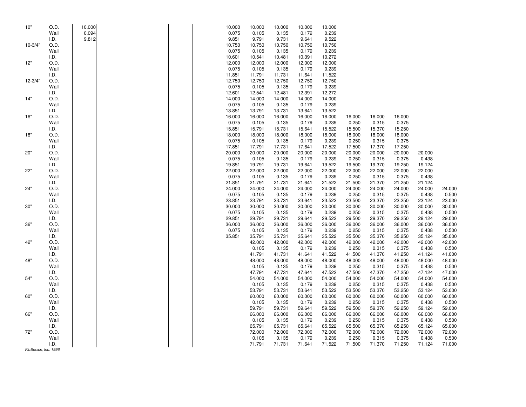| 10"                  | O.D. | 10.000 |  | 10.000 | 10.000 | 10.000 | 10.000 | 10.000 |        |        |        |        |        |
|----------------------|------|--------|--|--------|--------|--------|--------|--------|--------|--------|--------|--------|--------|
|                      | Wall | 0.094  |  | 0.075  | 0.105  | 0.135  | 0.179  | 0.239  |        |        |        |        |        |
|                      | I.D. | 9.812  |  | 9.851  | 9.791  | 9.731  | 9.641  | 9.522  |        |        |        |        |        |
| $10-3/4"$            | O.D. |        |  | 10.750 | 10.750 | 10.750 | 10.750 | 10.750 |        |        |        |        |        |
|                      | Wall |        |  | 0.075  | 0.105  | 0.135  | 0.179  | 0.239  |        |        |        |        |        |
|                      | I.D. |        |  | 10.601 | 10.541 | 10.481 | 10.391 | 10.272 |        |        |        |        |        |
| 12"                  | O.D. |        |  | 12.000 | 12.000 | 12.000 | 12.000 | 12.000 |        |        |        |        |        |
|                      | Wall |        |  | 0.075  | 0.105  | 0.135  | 0.179  | 0.239  |        |        |        |        |        |
|                      | I.D. |        |  | 11.851 | 11.791 | 11.731 | 11.641 | 11.522 |        |        |        |        |        |
|                      |      |        |  |        |        |        |        |        |        |        |        |        |        |
| $12 - 3/4"$          | O.D. |        |  | 12.750 | 12.750 | 12.750 | 12.750 | 12.750 |        |        |        |        |        |
|                      | Wall |        |  | 0.075  | 0.105  | 0.135  | 0.179  | 0.239  |        |        |        |        |        |
|                      | I.D. |        |  | 12.601 | 12.541 | 12.481 | 12.391 | 12.272 |        |        |        |        |        |
| 14"                  | O.D. |        |  | 14.000 | 14.000 | 14.000 | 14.000 | 14.000 |        |        |        |        |        |
|                      | Wall |        |  | 0.075  | 0.105  | 0.135  | 0.179  | 0.239  |        |        |        |        |        |
|                      | I.D. |        |  | 13.851 | 13.791 | 13.731 | 13.641 | 13.522 |        |        |        |        |        |
| 16"                  | O.D. |        |  | 16.000 | 16.000 | 16.000 | 16.000 | 16.000 | 16.000 | 16.000 | 16.000 |        |        |
|                      | Wall |        |  | 0.075  | 0.105  | 0.135  | 0.179  | 0.239  | 0.250  | 0.315  | 0.375  |        |        |
|                      | I.D. |        |  | 15.851 | 15.791 | 15.731 | 15.641 | 15.522 | 15.500 | 15.370 | 15.250 |        |        |
| 18"                  | O.D. |        |  | 18.000 | 18.000 | 18.000 | 18.000 | 18.000 | 18.000 | 18.000 | 18.000 |        |        |
|                      | Wall |        |  | 0.075  | 0.105  | 0.135  | 0.179  | 0.239  | 0.250  | 0.315  | 0.375  |        |        |
|                      | I.D. |        |  | 17.851 | 17.791 | 17.731 | 17.641 | 17.522 | 17.500 | 17.370 | 17.250 |        |        |
| 20"                  | O.D. |        |  | 20.000 | 20.000 | 20.000 | 20.000 | 20.000 | 20.000 | 20.000 | 20.000 | 20.000 |        |
|                      | Wall |        |  | 0.075  | 0.105  | 0.135  | 0.179  | 0.239  | 0.250  | 0.315  | 0.375  | 0.438  |        |
|                      | I.D. |        |  | 19.851 | 19.791 | 19.731 | 19.641 | 19.522 | 19.500 | 19.370 | 19.250 | 19.124 |        |
| 22"                  | O.D. |        |  | 22.000 | 22.000 | 22.000 |        |        | 22.000 | 22.000 | 22.000 | 22.000 |        |
|                      |      |        |  |        |        |        | 22.000 | 22.000 |        |        |        |        |        |
|                      | Wall |        |  | 0.075  | 0.105  | 0.135  | 0.179  | 0.239  | 0.250  | 0.315  | 0.375  | 0.438  |        |
|                      | I.D. |        |  | 21.851 | 21.791 | 21.731 | 21.641 | 21.522 | 21.500 | 21.370 | 21.250 | 21.124 |        |
| 24"                  | O.D. |        |  | 24.000 | 24.000 | 24.000 | 24.000 | 24.000 | 24.000 | 24.000 | 24.000 | 24.000 | 24.000 |
|                      | Wall |        |  | 0.075  | 0.105  | 0.135  | 0.179  | 0.239  | 0.250  | 0.315  | 0.375  | 0.438  | 0.500  |
|                      | I.D. |        |  | 23.851 | 23.791 | 23.731 | 23.641 | 23.522 | 23.500 | 23.370 | 23.250 | 23.124 | 23.000 |
| 30"                  | O.D. |        |  | 30.000 | 30.000 | 30.000 | 30.000 | 30.000 | 30.000 | 30.000 | 30.000 | 30.000 | 30.000 |
|                      | Wall |        |  | 0.075  | 0.105  | 0.135  | 0.179  | 0.239  | 0.250  | 0.315  | 0.375  | 0.438  | 0.500  |
|                      | I.D. |        |  | 29.851 | 29.791 | 29.731 | 29.641 | 29.522 | 29.500 | 29.370 | 29.250 | 29.124 | 29.000 |
| 36"                  | O.D. |        |  | 36.000 | 36.000 | 36.000 | 36.000 | 36.000 | 36.000 | 36.000 | 36.000 | 36.000 | 36.000 |
|                      | Wall |        |  | 0.075  | 0.105  | 0.135  | 0.179  | 0.239  | 0.250  | 0.315  | 0.375  | 0.438  | 0.500  |
|                      | I.D. |        |  | 35.851 | 35.791 | 35.731 | 35.641 | 35.522 | 35.500 | 35.370 | 35.250 | 35.124 | 35.000 |
| 42"                  | O.D. |        |  |        | 42.000 | 42.000 | 42.000 | 42.000 | 42.000 | 42.000 | 42.000 | 42.000 | 42.000 |
|                      | Wall |        |  |        | 0.105  | 0.135  | 0.179  | 0.239  | 0.250  | 0.315  | 0.375  | 0.438  | 0.500  |
|                      | I.D. |        |  |        | 41.791 | 41.731 | 41.641 | 41.522 | 41.500 | 41.370 | 41.250 | 41.124 | 41.000 |
| 48"                  | O.D. |        |  |        | 48.000 | 48.000 | 48.000 | 48.000 | 48.000 | 48.000 | 48.000 | 48.000 | 48.000 |
|                      | Wall |        |  |        | 0.105  | 0.135  | 0.179  | 0.239  | 0.250  | 0.315  | 0.375  | 0.438  | 0.500  |
|                      | I.D. |        |  |        | 47.791 | 47.731 | 47.641 | 47.522 | 47.500 | 47.370 | 47.250 | 47.124 | 47.000 |
|                      |      |        |  |        |        |        |        |        |        |        |        |        |        |
| 54"                  | O.D. |        |  |        | 54.000 | 54.000 | 54.000 | 54.000 | 54.000 | 54.000 | 54.000 | 54.000 | 54.000 |
|                      | Wall |        |  |        | 0.105  | 0.135  | 0.179  | 0.239  | 0.250  | 0.315  | 0.375  | 0.438  | 0.500  |
|                      | I.D. |        |  |        | 53.791 | 53.731 | 53.641 | 53.522 | 53.500 | 53.370 | 53.250 | 53.124 | 53.000 |
| 60"                  | O.D. |        |  |        | 60.000 | 60.000 | 60.000 | 60.000 | 60.000 | 60.000 | 60.000 | 60.000 | 60.000 |
|                      | Wall |        |  |        | 0.105  | 0.135  | 0.179  | 0.239  | 0.250  | 0.315  | 0.375  | 0.438  | 0.500  |
|                      | I.D. |        |  |        | 59.791 | 59.731 | 59.641 | 59.522 | 59.500 | 59.370 | 59.250 | 59.124 | 59.000 |
| 66"                  | O.D. |        |  |        | 66.000 | 66.000 | 66.000 | 66.000 | 66.000 | 66.000 | 66.000 | 66.000 | 66.000 |
|                      | Wall |        |  |        | 0.105  | 0.135  | 0.179  | 0.239  | 0.250  | 0.315  | 0.375  | 0.438  | 0.500  |
|                      | I.D. |        |  |        | 65.791 | 65.731 | 65.641 | 65.522 | 65.500 | 65.370 | 65.250 | 65.124 | 65.000 |
| 72"                  | O.D. |        |  |        | 72.000 | 72.000 | 72.000 | 72.000 | 72.000 | 72.000 | 72.000 | 72.000 | 72.000 |
|                      | Wall |        |  |        | 0.105  | 0.135  | 0.179  | 0.239  | 0.250  | 0.315  | 0.375  | 0.438  | 0.500  |
|                      | I.D. |        |  |        | 71.791 | 71.731 | 71.641 | 71.522 | 71.500 | 71.370 | 71.250 | 71.124 | 71.000 |
| FloSonics, Inc. 1996 |      |        |  |        |        |        |        |        |        |        |        |        |        |
|                      |      |        |  |        |        |        |        |        |        |        |        |        |        |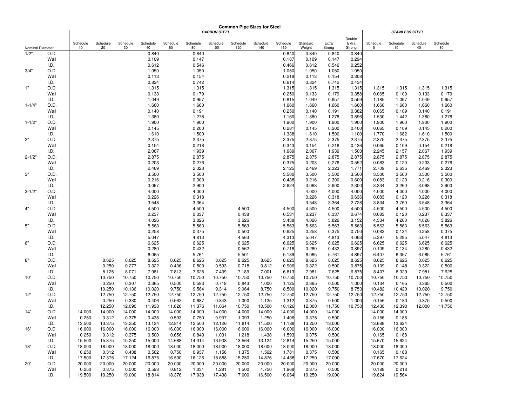|                  |              |                |                |                |                |                |                | <b>CARBON STEEL</b> | <b>Common Pipe Sizes for Steel</b> |                 |                 |                    |                 |                           |                | <b>STAINLESS STEEL</b> |                |                |
|------------------|--------------|----------------|----------------|----------------|----------------|----------------|----------------|---------------------|------------------------------------|-----------------|-----------------|--------------------|-----------------|---------------------------|----------------|------------------------|----------------|----------------|
| Nominal Diameter |              | Schedule<br>10 | Schedule<br>20 | Schedule<br>30 | Schedule<br>40 | Schedule<br>60 | Schedule<br>80 | Schedule<br>100     | Schedule<br>120                    | Schedule<br>140 | Schedule<br>160 | Standard<br>Weight | Extra<br>Strong | Double<br>Extra<br>Strong | Schedule<br>5  | Schedule<br>10         | Schedule<br>40 | Schedule<br>80 |
| 1/2"             | O.D.         |                |                |                | 0.840          |                | 0.840          |                     |                                    |                 | 0.840           | 0.840              | 0.840           | 0.840                     |                |                        |                |                |
|                  | Wall         |                |                |                | 0.109          |                | 0.147          |                     |                                    |                 | 0.187           | 0.109              | 0.147           | 0.294                     |                |                        |                |                |
|                  | I.D.         |                |                |                | 0.612          |                | 0.546          |                     |                                    |                 | 0.466           | 0.612              | 0.546           | 0.252                     |                |                        |                |                |
| 3/4"             | O.D.         |                |                |                | 1.050          |                | 1.050          |                     |                                    |                 | 1.050           | 1.050              | 1.050           | 1.050                     |                |                        |                |                |
|                  | Wall         |                |                |                | 0.113          |                | 0.154          |                     |                                    |                 | 0.218           | 0.113              | 0.154           | 0.308                     |                |                        |                |                |
|                  | I.D.         |                |                |                | 0.824          |                | 0.742          |                     |                                    |                 | 0.614           | 0.824              | 0.742           | 0.434                     |                |                        |                |                |
| 1"               | O.D.         |                |                |                | 1.315          |                | 1.315          |                     |                                    |                 | 1.315           | 1.315              | 1.315           | 1.315                     | 1.315          | 1.315                  | 1.315          | 1.315          |
|                  | Wall         |                |                |                | 0.133          |                | 0.179          |                     |                                    |                 | 0.250           | 0.133              | 0.179           | 0.358                     | 0.065          | 0.109                  | 0.133          | 0.179          |
|                  | I.D.         |                |                |                | 1.049          |                | 0.957          |                     |                                    |                 | 0.815           | 1.049              | 0.957           | 0.559                     | 1.185          | 1.097                  | 1.049          | 0.957          |
| $1 - 1/4"$       | O.D.         |                |                |                | 1.660          |                | 1.660          |                     |                                    |                 | 1.660           | 1.660              | 1.660           | 1.660                     | 1.660          | 1.660                  | 1.660          | 1.660          |
|                  | Wall         |                |                |                | 0.140          |                | 0.191          |                     |                                    |                 | 0.250           | 0.140              | 0.191           | 0.382                     | 0.065          | 0.109                  | 0.140          | 0.191          |
|                  | I.D.         |                |                |                | 1.380          |                | 1.278          |                     |                                    |                 | 1.160           | 1.380              | 1.278           | 0.896                     | 1.530          | 1.442                  | 1.380          | 1.278          |
| $1 - 1/2"$       | O.D.         |                |                |                | 1.900          |                | 1.900          |                     |                                    |                 | 1.900           | 1.900              | 1.900           | 1.900                     | 1.900          | 1.900                  | 1.900          | 1.900          |
|                  | Wall         |                |                |                | 0.145          |                | 0.200          |                     |                                    |                 | 0.281           | 0.145              | 0.200           | 0.400                     | 0.065          | 0.109                  | 0.145          | 0.200          |
|                  | I.D.         |                |                |                | 1.610          |                | 1.500          |                     |                                    |                 | 1.338           | 1.610              | 1.500           | 1.100                     | 1.770          | 1.682                  | 1.610          | 1.500          |
| 2"               | O.D.         |                |                |                | 2.375          |                | 2.375          |                     |                                    |                 | 2.375           | 2.375              | 2.375           | 2.375                     | 2.375          | 2.375                  | 2.375          | 2.375          |
|                  | Wall         |                |                |                | 0.154          |                | 0.218          |                     |                                    |                 | 0.343           | 0.154              | 0.218           | 0.436                     | 0.065          | 0.109                  | 0.154          | 0.218          |
|                  | I.D.         |                |                |                | 2.067          |                | 1.939          |                     |                                    |                 | 1.689           | 2.067              | 1.939           | 1.503                     | 2.245          | 2.157                  | 2.067          | 1.939          |
| $2 - 1/2"$       | O.D.         |                |                |                | 2.875          |                | 2.875          |                     |                                    |                 | 2.875           | 2.875              | 2.875           | 2.875                     | 2.875          | 2.875                  | 2.875          | 2.875          |
|                  | Wall         |                |                |                | 0.203          |                | 0.276          |                     |                                    |                 | 0.375           | 0.203              | 0.276           | 0.552                     | 0.083          | 0.120                  | 0.203          | 0.276          |
|                  | I.D.         |                |                |                | 2.469          |                | 2.323          |                     |                                    |                 | 2.125           | 2.469              | 2.323           | 1.771                     | 2.709          | 2.635                  | 2.469          | 2.323          |
| 3"               | O.D.         |                |                |                | 3.500          |                | 3.500          |                     |                                    |                 | 3.500           | 3.500              | 3.500           | 3.500                     | 3.500          | 3.500                  | 3.500          | 3.500          |
|                  | Wall         |                |                |                | 0.216          |                | 0.300          |                     |                                    |                 | 0.438           | 0.216              | 0.300           | 0.600                     | 0.083          | 0.120                  | 0.216          | 0.300          |
|                  | I.D.         |                |                |                | 3.067          |                | 2.900          |                     |                                    |                 | 2.624           | 3.068              | 2.900           | 2.300                     | 3.334          | 3.260                  | 3.068          | 2.900          |
| $3 - 1/2"$       | O.D.         |                |                |                | 4.000          |                | 4.000          |                     |                                    |                 |                 | 4.000              | 4.000           | 4.000                     | 4.000          | 4.000                  | 4.000          | 4.000          |
|                  | Wall         |                |                |                | 0.226          |                | 0.318          |                     |                                    |                 |                 | 0.226              | 0.318           | 0.636                     | 0.083          | 0.120                  | 0.226          | 0.318          |
|                  | I.D.         |                |                |                | 3.548          |                | 3.364          |                     |                                    |                 |                 | 3.548              | 3.364           | 2.728                     | 3.834          | 3.760                  | 3.548          | 3.364          |
| 4"               | O.D.         |                |                |                | 4.500          |                | 4.500          |                     | 4.500                              |                 | 4.500           | 4.500              | 4.500           | 4.500                     | 4.500          | 4.500                  | 4.500          | 4.500          |
|                  | Wall         |                |                |                | 0.237          |                | 0.337          |                     | 0.438                              |                 | 0.531           | 0.237              | 0.337           | 0.674                     | 0.083          | 0.120                  | 0.237          | 0.337          |
|                  | I.D.         |                |                |                | 4.026          |                | 3.826          |                     | 3.626                              |                 | 3.438           | 4.026              | 3.826           | 3.152                     | 4.334          | 4.260                  | 4.026          | 3.826          |
| 5"               | O.D.         |                |                |                | 5.563          |                | 5.563          |                     | 5.563                              |                 | 5.563           | 5.563              | 5.563           | 5.563                     | 5.563          | 5.563                  | 5.563          | 5.563          |
|                  | Wall         |                |                |                | 0.258          |                | 0.375          |                     | 0.500                              |                 | 0.625           | 0.258              | 0.375           | 0.750                     | 0.083          | 0.134                  | 0.258          | 0.375          |
|                  | I.D.         |                |                |                | 5.047          |                | 4.813          |                     | 4.563                              |                 | 4.313           | 5.047              | 4.813           | 4.063                     | 5.397          | 5.295                  | 5.047          | 4.813          |
| 6"               | O.D.         |                |                |                | 6.625          |                | 6.625          |                     | 6.625                              |                 | 6.625           | 6.625              | 6.625           | 6.625                     | 6.625          | 6.625                  | 6.625          | 6.625          |
|                  | Wall         |                |                |                | 0.280          |                | 0.432          |                     | 0.562                              |                 | 0.718           | 0.280              | 0.432           | 0.897                     | 0.109          | 0.134                  | 0.280          | 0.432          |
|                  | I.D.         |                |                |                | 6.065          |                | 5.761          |                     | 5.501                              |                 | 5.189           | 6.065              | 5.761           | 4.897                     | 6.407          | 6.357                  | 6.065          | 5.761          |
| 8"               | O.D.         |                | 8.625          | 8.625          | 8.625          | 8.625          | 8.625          | 8.625               | 8.625                              | 8.625           | 8.625           | 8.625              | 8.625           | 8.625                     | 8.625          | 8.625                  | 8.625          | 8.625          |
|                  | Wall<br>I.D. |                | 0.250<br>8.125 | 0.277<br>8.071 | 0.322<br>7.981 | 0.406<br>7.813 | 0.500<br>7.625 | 0.593<br>7.439      | 0.718<br>7.189                     | 0.812<br>7.001  | 0.906<br>6.813  | 0.322<br>7.981     | 0.500<br>7.625  | 0.875<br>6.875            | 0.109<br>8.407 | 0.148<br>8.329         | 0.322<br>7.981 | 0.500<br>7.625 |
| 10"              | O.D.         |                | 10.750         | 10.750         | 10.750         | 10.750         | 10.750         | 10.750              | 10.750                             | 10.750          | 10.750          | 10.750             | 10.750          | 10.750                    | 10.750         | 10.750                 | 10.750         | 10.750         |
|                  | Wall         |                | 0.250          | 0.307          | 0.365          | 0.500          | 0.593          | 0.718               | 0.843                              | 1.000           | 1.125           | 0.365              | 0.500           | 1.000                     | 0.134          | 0.165                  | 0.365          | 0.500          |
|                  | I.D.         |                | 10.250         | 10.136         | 10.020         | 9.750          | 9.564          | 9.314               | 9.064                              | 8.750           | 8.500           | 10.020             | 9.750           | 8.750                     | 10.482         | 10.420                 | 10.020         | 9.750          |
| 12"              | O.D.         |                | 12.750         | 12.750         | 12.750         | 12.750         | 12.750         | 12.750              | 12.750                             | 12.750          | 12.750          | 12.750             | 12.750          | 12.750                    | 12.750         | 12.750                 | 12.750         | 12.750         |
|                  | Wall         |                | 0.250          | 0.330          | 0.406          | 0.562          | 0.687          | 0.843               | 1.000                              | 1.125           | 1.312           | 0.375              | 0.500           | 1.000                     | 0.156          | 0.180                  | 0.375          | 0.500          |
|                  | I.D.         |                | 12.250         | 12.090         | 11.938         | 11.626         | 11.376         | 11.064              | 10.750                             | 10.500          | 10.126          | 12.000             | 11.750          | 10.750                    | 12.438         | 12.390                 | 12.000         | 11.750         |
| 14"              | O.D.         | 14.000         | 14.000         | 14.000         | 14.000         | 14.000         | 14.000         | 14.000              | 14.000                             | 14.000          | 14.000          | 14.000             | 14.000          |                           | 14.000         | 14.000                 |                |                |
|                  | Wall         | 0.250          | 0.312          | 0.375          | 0.438          | 0.593          | 0.750          | 0.937               | 1.093                              | 1.250           | 1.406           | 0.375              | 0.500           |                           | 0.156          | 0.188                  |                |                |
|                  | I.D.         | 13.500         | 13.375         | 13.250         | 13.124         | 12.814         | 12.500         | 12.126              | 11.814                             | 11.500          | 11.188          | 13.250             | 13.000          |                           | 13.688         | 13.624                 |                |                |
| 16"              | O.D.         | 16.000         | 16.000         | 16.000         | 16.000         | 16.000         | 16.000         | 16.000              | 16.000                             | 16.000          | 16.000          | 16.000             | 16.000          |                           | 16.000         | 16.000                 |                |                |
|                  | Wall         | 0.250          | 0.312          | 0.375          | 0.500          | 0.656          | 0.843          | 1.031               | 1.218                              | 1.438           | 1.593           | 0.375              | 0.500           |                           | 0.165          | 0.188                  |                |                |
|                  | I.D.         | 15.500         | 15.375         | 15.250         | 15.000         | 14.688         | 14.314         | 13.938              | 13.564                             | 13.124          | 12.814          | 15.250             | 15.000          |                           | 15.670         | 15.624                 |                |                |
| 18"              | O.D.         | 18.000         | 18.000         | 18.000         | 18.000         | 18.000         | 18.000         | 18.000              | 18.000                             | 18.000          | 18.000          | 18.000             | 18.000          |                           | 18.000         | 18.000                 |                |                |
|                  | Wall         | 0.250          | 0.312          | 0.438          | 0.562          | 0.750          | 0.937          | 1.156               | 1.375                              | 1.562           | 1.781           | 0.375              | 0.500           |                           | 0.165          | 0.188                  |                |                |
|                  | I.D.         | 17.500         | 17.375         | 17.124         | 16.876         | 16.500         | 16.126         | 15.688              | 15.250                             | 14.876          | 14.438          | 17.250             | 17.000          |                           | 17.670         | 17.624                 |                |                |
| 20"              | O.D.         | 20.000         | 20.000         | 20.000         | 20.000         | 20.000         | 20.000         | 20.000              | 20.000                             | 20.000          | 20.000          | 20.000             | 20.000          |                           | 20.000         | 20.000                 |                |                |
|                  | Wall         | 0.250          | 0.375          | 0.500          | 0.593          | 0.812          | 1.031          | 1.281               | 1.500                              | 1.750           | 1.968           | 0.375              | 0.500           |                           | 0.188          | 0.218                  |                |                |
|                  | I.D.         | 19.500         | 19.250         | 19.000         | 18.814         | 18.376         | 17.938         | 17.438              | 17.000                             | 16.500          | 16.064          | 19.250             | 19.000          |                           | 19.624         | 19.564                 |                |                |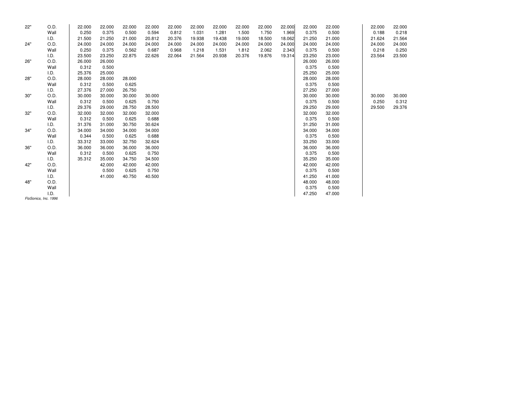| 22" | O.D.                 | 22.000 | 22.000 | 22.000 | 22.000 | 22.000 | 22.000 | 22.000 | 22.000 | 22.000 | 22.000 | 22.000 | 22.000 | 22.000 | 22.000 |
|-----|----------------------|--------|--------|--------|--------|--------|--------|--------|--------|--------|--------|--------|--------|--------|--------|
|     | Wall                 | 0.250  | 0.375  | 0.500  | 0.594  | 0.812  | 1.031  | 1.281  | 1.500  | 1.750  | 1.969  | 0.375  | 0.500  | 0.188  | 0.218  |
|     | I.D.                 | 21.500 | 21.250 | 21.000 | 20.812 | 20.376 | 19.938 | 19.438 | 19.000 | 18.500 | 18.062 | 21.250 | 21.000 | 21.624 | 21.564 |
| 24" | O.D.                 | 24.000 | 24.000 | 24.000 | 24.000 | 24.000 | 24.000 | 24.000 | 24.000 | 24.000 | 24.000 | 24.000 | 24.000 | 24.000 | 24.000 |
|     | Wall                 | 0.250  | 0.375  | 0.562  | 0.687  | 0.968  | 1.218  | 1.531  | 1.812  | 2.062  | 2.343  | 0.375  | 0.500  | 0.218  | 0.250  |
|     | I.D.                 | 23.500 | 23.250 | 22.875 | 22.626 | 22.064 | 21.564 | 20.938 | 20.376 | 19.876 | 19.314 | 23.250 | 23.000 | 23.564 | 23.500 |
| 26" | O.D.                 | 26.000 | 26.000 |        |        |        |        |        |        |        |        | 26.000 | 26.000 |        |        |
|     | Wall                 | 0.312  | 0.500  |        |        |        |        |        |        |        |        | 0.375  | 0.500  |        |        |
|     | I.D.                 | 25.376 | 25.000 |        |        |        |        |        |        |        |        | 25.250 | 25.000 |        |        |
| 28" | O.D.                 | 28.000 | 28.000 | 28.000 |        |        |        |        |        |        |        | 28.000 | 28.000 |        |        |
|     | Wall                 | 0.312  | 0.500  | 0.625  |        |        |        |        |        |        |        | 0.375  | 0.500  |        |        |
|     | I.D.                 | 27.376 | 27.000 | 26.750 |        |        |        |        |        |        |        | 27.250 | 27.000 |        |        |
| 30" | O.D.                 | 30.000 | 30.000 | 30.000 | 30.000 |        |        |        |        |        |        | 30.000 | 30.000 | 30.000 | 30.000 |
|     | Wall                 | 0.312  | 0.500  | 0.625  | 0.750  |        |        |        |        |        |        | 0.375  | 0.500  | 0.250  | 0.312  |
|     | I.D.                 | 29.376 | 29.000 | 28.750 | 28.500 |        |        |        |        |        |        | 29.250 | 29.000 | 29.500 | 29.376 |
| 32" | O.D.                 | 32.000 | 32.000 | 32.000 | 32.000 |        |        |        |        |        |        | 32.000 | 32.000 |        |        |
|     | Wall                 | 0.312  | 0.500  | 0.625  | 0.688  |        |        |        |        |        |        | 0.375  | 0.500  |        |        |
|     | I.D.                 | 31.376 | 31.000 | 30.750 | 30.624 |        |        |        |        |        |        | 31.250 | 31.000 |        |        |
| 34" | O.D.                 | 34.000 | 34.000 | 34.000 | 34.000 |        |        |        |        |        |        | 34.000 | 34.000 |        |        |
|     | Wall                 | 0.344  | 0.500  | 0.625  | 0.688  |        |        |        |        |        |        | 0.375  | 0.500  |        |        |
|     | I.D.                 | 33.312 | 33.000 | 32.750 | 32.624 |        |        |        |        |        |        | 33.250 | 33.000 |        |        |
| 36" | O.D.                 | 36.000 | 36.000 | 36.000 | 36.000 |        |        |        |        |        |        | 36.000 | 36.000 |        |        |
|     | Wall                 | 0.312  | 0.500  | 0.625  | 0.750  |        |        |        |        |        |        | 0.375  | 0.500  |        |        |
|     | I.D.                 | 35.312 | 35.000 | 34.750 | 34.500 |        |        |        |        |        |        | 35.250 | 35.000 |        |        |
| 42" | O.D.                 |        | 42.000 | 42.000 | 42.000 |        |        |        |        |        |        | 42.000 | 42.000 |        |        |
|     | Wall                 |        | 0.500  | 0.625  | 0.750  |        |        |        |        |        |        | 0.375  | 0.500  |        |        |
|     | I.D.                 |        | 41.000 | 40.750 | 40.500 |        |        |        |        |        |        | 41.250 | 41.000 |        |        |
| 48" | O.D.                 |        |        |        |        |        |        |        |        |        |        | 48.000 | 48.000 |        |        |
|     | Wall                 |        |        |        |        |        |        |        |        |        |        | 0.375  | 0.500  |        |        |
|     | I.D.                 |        |        |        |        |        |        |        |        |        |        | 47.250 | 47.000 |        |        |
|     | FloSonics, Inc. 1996 |        |        |        |        |        |        |        |        |        |        |        |        |        |        |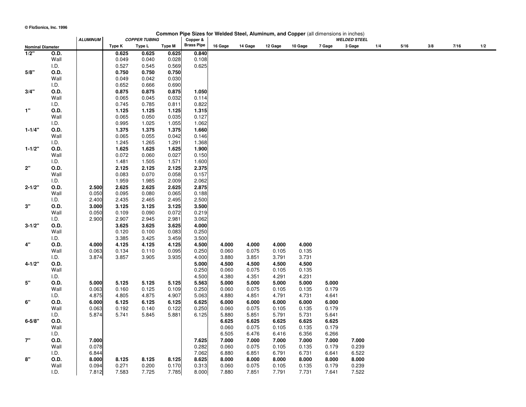|                         |      |                 |        |                      |               | Common Pipe Sizes for Welded Steel, Aluminum, and Copper (all dimensions in inches) |         |         |         |         |        |                     |     |      |     |      |     |
|-------------------------|------|-----------------|--------|----------------------|---------------|-------------------------------------------------------------------------------------|---------|---------|---------|---------|--------|---------------------|-----|------|-----|------|-----|
|                         |      | <b>ALUMINUM</b> |        | <b>COPPER TUBING</b> |               | Copper &                                                                            |         |         |         |         |        | <b>WELDED STEEL</b> |     |      |     |      |     |
| <b>Nominal Diameter</b> |      |                 | Type K | Type L               | <b>Type M</b> | <b>Brass Pipe</b>                                                                   | 16 Gage | 14 Gage | 12 Gage | 10 Gage | 7 Gage | 3 Gage              | 1/4 | 5/16 | 3/8 | 7/16 | 1/2 |
| $\overline{1/2}$ "      | O.D. |                 | 0.625  | 0.625                | 0.625         | 0.840                                                                               |         |         |         |         |        |                     |     |      |     |      |     |
|                         | Wall |                 | 0.049  | 0.040                | 0.028         | 0.108                                                                               |         |         |         |         |        |                     |     |      |     |      |     |
|                         | I.D. |                 | 0.527  | 0.545                | 0.569         | 0.625                                                                               |         |         |         |         |        |                     |     |      |     |      |     |
| 5/8"                    | O.D. |                 | 0.750  | 0.750                | 0.750         |                                                                                     |         |         |         |         |        |                     |     |      |     |      |     |
|                         | Wall |                 | 0.049  | 0.042                | 0.030         |                                                                                     |         |         |         |         |        |                     |     |      |     |      |     |
|                         | I.D. |                 | 0.652  | 0.666                | 0.690         |                                                                                     |         |         |         |         |        |                     |     |      |     |      |     |
| 3/4"                    | 0.D. |                 | 0.875  | 0.875                | 0.875         | 1.050                                                                               |         |         |         |         |        |                     |     |      |     |      |     |
|                         | Wall |                 | 0.065  | 0.045                | 0.032         | 0.114                                                                               |         |         |         |         |        |                     |     |      |     |      |     |
|                         | I.D. |                 | 0.745  | 0.785                | 0.811         | 0.822                                                                               |         |         |         |         |        |                     |     |      |     |      |     |
| 1"                      | O.D. |                 | 1.125  | 1.125                | 1.125         | 1.315                                                                               |         |         |         |         |        |                     |     |      |     |      |     |
|                         | Wall |                 | 0.065  | 0.050                | 0.035         | 0.127                                                                               |         |         |         |         |        |                     |     |      |     |      |     |
|                         | I.D. |                 | 0.995  | 1.025                | 1.055         | 1.062                                                                               |         |         |         |         |        |                     |     |      |     |      |     |
| $1 - 1/4"$              | O.D. |                 | 1.375  | 1.375                | 1.375         | 1.660                                                                               |         |         |         |         |        |                     |     |      |     |      |     |
|                         | Wall |                 | 0.065  | 0.055                | 0.042         | 0.146                                                                               |         |         |         |         |        |                     |     |      |     |      |     |
|                         | I.D. |                 | 1.245  | 1.265                | 1.291         | 1.368                                                                               |         |         |         |         |        |                     |     |      |     |      |     |
| $1 - 1/2"$              | O.D. |                 | 1.625  | 1.625                | 1.625         | 1.900                                                                               |         |         |         |         |        |                     |     |      |     |      |     |
|                         | Wall |                 | 0.072  | 0.060                | 0.027         | 0.150                                                                               |         |         |         |         |        |                     |     |      |     |      |     |
|                         | I.D. |                 | 1.481  | 1.505                | 1.571         | 1.600                                                                               |         |         |         |         |        |                     |     |      |     |      |     |
| 2"                      | O.D. |                 | 2.125  | 2.125                | 2.125         | 2.375                                                                               |         |         |         |         |        |                     |     |      |     |      |     |
|                         | Wall |                 | 0.083  | 0.070                | 0.058         | 0.157                                                                               |         |         |         |         |        |                     |     |      |     |      |     |
|                         | I.D. |                 | 1.959  | 1.985                | 2.009         | 2.062                                                                               |         |         |         |         |        |                     |     |      |     |      |     |
| $2 - 1/2"$              | O.D. | 2.500           | 2.625  | 2.625                | 2.625         | 2.875                                                                               |         |         |         |         |        |                     |     |      |     |      |     |
|                         | Wall | 0.050           | 0.095  | 0.080                | 0.065         | 0.188                                                                               |         |         |         |         |        |                     |     |      |     |      |     |
|                         | I.D. | 2.400           | 2.435  | 2.465                | 2.495         | 2.500                                                                               |         |         |         |         |        |                     |     |      |     |      |     |
| 3"                      | O.D. | 3.000           | 3.125  | 3.125                | 3.125         | 3.500                                                                               |         |         |         |         |        |                     |     |      |     |      |     |
|                         | Wall | 0.050           | 0.109  | 0.090                | 0.072         | 0.219                                                                               |         |         |         |         |        |                     |     |      |     |      |     |
|                         | I.D. | 2.900           | 2.907  | 2.945                | 2.981         | 3.062                                                                               |         |         |         |         |        |                     |     |      |     |      |     |
| $3 - 1/2"$              | 0.D. |                 | 3.625  | 3.625                | 3.625         | 4.000                                                                               |         |         |         |         |        |                     |     |      |     |      |     |
|                         | Wall |                 | 0.120  | 0.100                | 0.083         | 0.250                                                                               |         |         |         |         |        |                     |     |      |     |      |     |
|                         | I.D. |                 | 3.385  | 3.425                | 3.459         | 3.500                                                                               |         |         |         |         |        |                     |     |      |     |      |     |
| 4"                      | O.D. | 4.000           | 4.125  | 4.125                | 4.125         | 4.500                                                                               | 4.000   | 4.000   | 4.000   | 4.000   |        |                     |     |      |     |      |     |
|                         | Wall | 0.063           | 0.134  | 0.110                | 0.095         | 0.250                                                                               | 0.060   | 0.075   | 0.105   | 0.135   |        |                     |     |      |     |      |     |
|                         | I.D. | 3.874           | 3.857  | 3.905                | 3.935         | 4.000                                                                               | 3.880   | 3.851   | 3.791   | 3.731   |        |                     |     |      |     |      |     |
| $4 - 1/2"$              | O.D. |                 |        |                      |               | 5.000                                                                               | 4.500   | 4.500   | 4.500   | 4.500   |        |                     |     |      |     |      |     |
|                         | Wall |                 |        |                      |               | 0.250                                                                               | 0.060   | 0.075   | 0.105   | 0.135   |        |                     |     |      |     |      |     |
|                         | I.D. |                 |        |                      |               | 4.500                                                                               | 4.380   | 4.351   | 4.291   | 4.231   |        |                     |     |      |     |      |     |
| 5"                      | 0.D. | 5.000           | 5.125  | 5.125                | 5.125         | 5.563                                                                               | 5.000   | 5.000   | 5.000   | 5.000   | 5.000  |                     |     |      |     |      |     |
|                         | Wall | 0.063           | 0.160  | 0.125                | 0.109         | 0.250                                                                               | 0.060   | 0.075   | 0.105   | 0.135   | 0.179  |                     |     |      |     |      |     |
|                         | I.D. | 4.875           | 4.805  | 4.875                | 4.907         | 5.063                                                                               | 4.880   | 4.851   | 4.791   | 4.731   | 4.641  |                     |     |      |     |      |     |
| 6"                      | O.D. | 6.000           | 6.125  | 6.125                | 6.125         | 6.625                                                                               | 6.000   | 6.000   | 6.000   | 6.000   | 6.000  |                     |     |      |     |      |     |
|                         | Wall | 0.063           | 0.192  | 0.140                | 0.122         | 0.250                                                                               | 0.060   | 0.075   | 0.105   | 0.135   | 0.179  |                     |     |      |     |      |     |
|                         | I.D. | 5.874           | 5.741  | 5.845                | 5.881         | 6.125                                                                               | 5.880   | 5.851   | 5.791   | 5.731   | 5.641  |                     |     |      |     |      |     |
| $6 - 5/8"$              | 0.D. |                 |        |                      |               |                                                                                     | 6.625   | 6.625   | 6.625   | 6.625   | 6.625  |                     |     |      |     |      |     |
|                         | Wall |                 |        |                      |               |                                                                                     | 0.060   | 0.075   | 0.105   | 0.135   | 0.179  |                     |     |      |     |      |     |
|                         | I.D. |                 |        |                      |               |                                                                                     | 6.505   | 6.476   | 6.416   | 6.356   | 6.266  |                     |     |      |     |      |     |
| 7"                      | O.D. | 7.000           |        |                      |               | 7.625                                                                               | 7.000   | 7.000   | 7.000   | 7.000   | 7.000  | 7.000               |     |      |     |      |     |
|                         | Wall | 0.078           |        |                      |               | 0.282                                                                               | 0.060   | 0.075   | 0.105   | 0.135   | 0.179  | 0.239               |     |      |     |      |     |
|                         | I.D. | 6.844           |        |                      |               | 7.062                                                                               | 6.880   | 6.851   | 6.791   | 6.731   | 6.641  | 6.522               |     |      |     |      |     |
| 8"                      | 0.D. | 8.000           | 8.125  | 8.125                | 8.125         | 8.625                                                                               | 8.000   | 8.000   | 8.000   | 8.000   | 8.000  | 8.000               |     |      |     |      |     |
|                         | Wall | 0.094           | 0.271  | 0.200                | 0.170         | 0.313                                                                               | 0.060   | 0.075   | 0.105   | 0.135   | 0.179  | 0.239               |     |      |     |      |     |
|                         | I.D. | 7.812           | 7.583  | 7.725                | 7.785         | 8.000                                                                               | 7.880   | 7.851   | 7.791   | 7.731   | 7.641  | 7.522               |     |      |     |      |     |
|                         |      |                 |        |                      |               |                                                                                     |         |         |         |         |        |                     |     |      |     |      |     |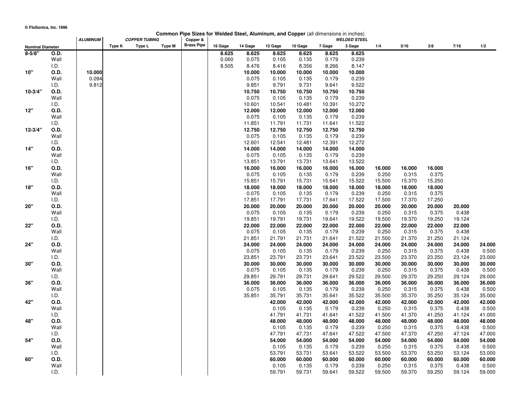|                         |              | <b>ALUMINUM</b> |        | <b>COPPER TUBING</b> | vv            | יאיט טיבעט<br>Copper & | <b>101</b> Welded Otech, Alternational, and Opper (all alternational in increasi- |                 |                 |                 |                 | <b>WELDED STEEL</b> |                 |                 |                 |                 |                 |
|-------------------------|--------------|-----------------|--------|----------------------|---------------|------------------------|-----------------------------------------------------------------------------------|-----------------|-----------------|-----------------|-----------------|---------------------|-----------------|-----------------|-----------------|-----------------|-----------------|
| <b>Nominal Diameter</b> |              |                 | Type K | Type L               | <b>Type M</b> | <b>Brass Pipe</b>      | 16 Gage                                                                           | 14 Gage         | 12 Gage         | 10 Gage         | 7 Gage          | 3 Gage              | 1/4             | 5/16            | 3/8             | 7/16            | 1/2             |
| $8 - 5/8"$              | O.D.         |                 |        |                      |               |                        | 8.625                                                                             | 8.625           | 8.625           | 8.625           | 8.625           | 8.625               |                 |                 |                 |                 |                 |
|                         | Wall         |                 |        |                      |               |                        | 0.060                                                                             | 0.075           | 0.105           | 0.135           | 0.179           | 0.239               |                 |                 |                 |                 |                 |
|                         | I.D.         |                 |        |                      |               |                        | 8.505                                                                             | 8.476           | 8.416           | 8.356           | 8.266           | 8.147               |                 |                 |                 |                 |                 |
| 10"                     | O.D.         | 10.000          |        |                      |               |                        |                                                                                   | 10.000          | 10.000          | 10.000          | 10.000          | 10.000              |                 |                 |                 |                 |                 |
|                         | Wall         | 0.094           |        |                      |               |                        |                                                                                   | 0.075           | 0.105           | 0.135           | 0.179           | 0.239               |                 |                 |                 |                 |                 |
|                         | I.D.         | 9.812           |        |                      |               |                        |                                                                                   | 9.851           | 9.791           | 9.731           | 9.641           | 9.522               |                 |                 |                 |                 |                 |
| $10 - 3/4"$             | O.D.         |                 |        |                      |               |                        |                                                                                   | 10.750          | 10.750          | 10.750          | 10.750          | 10.750              |                 |                 |                 |                 |                 |
|                         | Wall         |                 |        |                      |               |                        |                                                                                   | 0.075           | 0.105           | 0.135           | 0.179           | 0.239               |                 |                 |                 |                 |                 |
|                         | I.D.         |                 |        |                      |               |                        |                                                                                   | 10.601          | 10.541          | 10.481          | 10.391          | 10.272              |                 |                 |                 |                 |                 |
| 12"                     | O.D.         |                 |        |                      |               |                        |                                                                                   | 12.000          | 12.000          | 12.000          | 12.000          | 12.000              |                 |                 |                 |                 |                 |
|                         | Wall         |                 |        |                      |               |                        |                                                                                   | 0.075           | 0.105           | 0.135           | 0.179           | 0.239               |                 |                 |                 |                 |                 |
|                         | I.D.         |                 |        |                      |               |                        |                                                                                   | 11.851          | 11.791          | 11.731          | 11.641          | 11.522              |                 |                 |                 |                 |                 |
| $12 - 3/4"$             | <b>O.D.</b>  |                 |        |                      |               |                        |                                                                                   | 12.750          | 12.750          | 12.750          | 12.750          | 12.750              |                 |                 |                 |                 |                 |
|                         | Wall         |                 |        |                      |               |                        |                                                                                   | 0.075           | 0.105           | 0.135           | 0.179           | 0.239               |                 |                 |                 |                 |                 |
|                         | I.D.         |                 |        |                      |               |                        |                                                                                   | 12.601          | 12.541          | 12.481          | 12.391          | 12.272              |                 |                 |                 |                 |                 |
| 14"                     | <b>O.D.</b>  |                 |        |                      |               |                        |                                                                                   | 14.000          | 14.000          | 14.000          | 14.000          | 14.000              |                 |                 |                 |                 |                 |
|                         | Wall         |                 |        |                      |               |                        |                                                                                   | 0.075           | 0.105           | 0.135           | 0.179           | 0.239               |                 |                 |                 |                 |                 |
|                         | I.D.         |                 |        |                      |               |                        |                                                                                   | 13.851          | 13.791          | 13.731          | 13.641          | 13.522              |                 |                 |                 |                 |                 |
| 16"                     | O.D.         |                 |        |                      |               |                        |                                                                                   | 16.000          | 16.000          | 16.000          | 16.000          | 16.000              | 16.000          | 16.000          | 16.000          |                 |                 |
|                         | Wall         |                 |        |                      |               |                        |                                                                                   | 0.075           | 0.105           | 0.135           | 0.179           | 0.239               | 0.250           | 0.315           | 0.375           |                 |                 |
|                         | I.D.         |                 |        |                      |               |                        |                                                                                   | 15.851          | 15.791          | 15.731          | 15.641          | 15.522              | 15.500          | 15.370          | 15.250          |                 |                 |
| 18"                     | O.D.         |                 |        |                      |               |                        |                                                                                   | 18.000          | 18.000          | 18.000          | 18.000          | 18.000              | 18.000          | 18.000          | 18.000          |                 |                 |
|                         | Wall         |                 |        |                      |               |                        |                                                                                   | 0.075           | 0.105           | 0.135           | 0.179           | 0.239               | 0.250           | 0.315           | 0.375           |                 |                 |
|                         | I.D.         |                 |        |                      |               |                        |                                                                                   | 17.851          | 17.791          | 17.731          | 17.641          | 17.522              | 17.500          | 17.370          | 17.250          |                 |                 |
| 20"                     | O.D.         |                 |        |                      |               |                        |                                                                                   | 20.000          | 20.000          | 20.000          | 20.000          | 20.000              | 20.000          | 20.000          | 20.000          | 20.000          |                 |
|                         | Wall         |                 |        |                      |               |                        |                                                                                   | 0.075           | 0.105           | 0.135           | 0.179           | 0.239               | 0.250           | 0.315           | 0.375           | 0.438           |                 |
|                         | I.D.         |                 |        |                      |               |                        |                                                                                   | 19.851          | 19.791          | 19.731          | 19.641          | 19.522              | 19.500          | 19.370          | 19.250          | 19.124          |                 |
| 22"                     | O.D.         |                 |        |                      |               |                        |                                                                                   | 22.000          | 22.000          | 22.000          | 22.000          | 22.000              | 22.000          | 22.000          | 22.000          | 22.000          |                 |
|                         | Wall         |                 |        |                      |               |                        |                                                                                   | 0.075           | 0.105           | 0.135           | 0.179           | 0.239               | 0.250           | 0.315           | 0.375           | 0.438           |                 |
|                         | I.D.         |                 |        |                      |               |                        |                                                                                   | 21.851          | 21.791          | 21.731          | 21.641          | 21.522              | 21.500          | 21.370          | 21.250          | 21.124          |                 |
| 24"                     | <b>O.D.</b>  |                 |        |                      |               |                        |                                                                                   | 24.000          | 24.000          | 24.000          | 24.000          | 24.000              | 24.000          | 24.000          | 24.000          | 24.000          | 24.000          |
|                         | Wall         |                 |        |                      |               |                        |                                                                                   | 0.075           | 0.105           | 0.135           | 0.179           | 0.239               | 0.250           | 0.315           | 0.375           | 0.438           | 0.500           |
|                         | I.D.         |                 |        |                      |               |                        |                                                                                   | 23.851          | 23.791          | 23.731          | 23.641          | 23.522              | 23.500          | 23.370          | 23.250          | 23.124          | 23.000          |
| 30"                     | O.D.<br>Wall |                 |        |                      |               |                        |                                                                                   | 30.000<br>0.075 | 30.000<br>0.105 | 30.000<br>0.135 | 30.000<br>0.179 | 30.000<br>0.239     | 30.000<br>0.250 | 30.000<br>0.315 | 30.000<br>0.375 | 30.000<br>0.438 | 30.000<br>0.500 |
|                         | I.D.         |                 |        |                      |               |                        |                                                                                   | 29.851          | 29.791          | 29.731          | 29.641          | 29.522              | 29.500          | 29.370          | 29.250          | 29.124          | 29.000          |
| 36"                     | <b>O.D.</b>  |                 |        |                      |               |                        |                                                                                   | 36.000          | 36.000          | 36.000          | 36.000          | 36.000              | 36.000          | 36.000          | 36.000          | 36.000          | 36.000          |
|                         | Wall         |                 |        |                      |               |                        |                                                                                   | 0.075           | 0.105           | 0.135           | 0.179           | 0.239               | 0.250           | 0.315           | 0.375           | 0.438           | 0.500           |
|                         | I.D.         |                 |        |                      |               |                        |                                                                                   | 35.851          | 35.791          | 35.731          | 35.641          | 35.522              | 35.500          | 35.370          | 35.250          | 35.124          | 35.000          |
| 42"                     | O.D.         |                 |        |                      |               |                        |                                                                                   |                 | 42.000          | 42.000          | 42.000          | 42.000              | 42.000          | 42.000          | 42.000          | 42.000          | 42.000          |
|                         | Wall         |                 |        |                      |               |                        |                                                                                   |                 | 0.105           | 0.135           | 0.179           | 0.239               | 0.250           | 0.315           | 0.375           | 0.438           | 0.500           |
|                         | I.D.         |                 |        |                      |               |                        |                                                                                   |                 | 41.791          | 41.731          | 41.641          | 41.522              | 41.500          | 41.370          | 41.250          | 41.124          | 41.000          |
| 48"                     | O.D.         |                 |        |                      |               |                        |                                                                                   |                 | 48.000          | 48.000          | 48.000          | 48.000              | 48.000          | 48.000          | 48.000          | 48.000          | 48.000          |
|                         | Wall         |                 |        |                      |               |                        |                                                                                   |                 | 0.105           | 0.135           | 0.179           | 0.239               | 0.250           | 0.315           | 0.375           | 0.438           | 0.500           |
|                         | I.D.         |                 |        |                      |               |                        |                                                                                   |                 | 47.791          | 47.731          | 47.641          | 47.522              | 47.500          | 47.370          | 47.250          | 47.124          | 47.000          |
| 54"                     | <b>O.D.</b>  |                 |        |                      |               |                        |                                                                                   |                 | 54.000          | 54.000          | 54.000          | 54.000              | 54.000          | 54.000          | 54.000          | 54.000          | 54.000          |
|                         | Wall         |                 |        |                      |               |                        |                                                                                   |                 | 0.105           | 0.135           | 0.179           | 0.239               | 0.250           | 0.315           | 0.375           | 0.438           | 0.500           |
|                         | I.D.         |                 |        |                      |               |                        |                                                                                   |                 | 53.791          | 53.731          | 53.641          | 53.522              | 53.500          | 53.370          | 53.250          | 53.124          | 53.000          |
| 60"                     | O.D.         |                 |        |                      |               |                        |                                                                                   |                 | 60.000          | 60.000          | 60.000          | 60.000              | 60.000          | 60.000          | 60.000          | 60.000          | 60.000          |
|                         | Wall         |                 |        |                      |               |                        |                                                                                   |                 | 0.105           | 0.135           | 0.179           | 0.239               | 0.250           | 0.315           | 0.375           | 0.438           | 0.500           |
|                         | I.D.         |                 |        |                      |               |                        |                                                                                   |                 | 59.791          | 59.731          | 59.641          | 59.522              | 59.500          | 59.370          | 59.250          | 59.124          | 59.000          |

### **Common Pipe Sizes for Welded Steel, Aluminum, and Copper** (all dimensions in inches)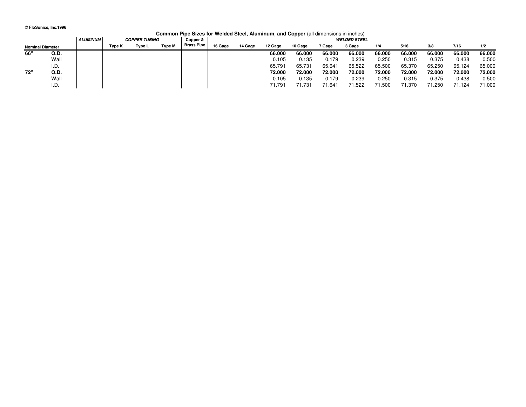|                         |      |                 |        |                      |        |                   |         |         | Common Pipe Sizes for Welded Steel, Aluminum, and Copper (all dimensions in inches) |         |                    |                     |        |        |        |        |        |
|-------------------------|------|-----------------|--------|----------------------|--------|-------------------|---------|---------|-------------------------------------------------------------------------------------|---------|--------------------|---------------------|--------|--------|--------|--------|--------|
|                         |      | <b>ALUMINUM</b> |        | <b>COPPER TUBING</b> |        | Copper &          |         |         |                                                                                     |         |                    | <b>WELDED STEEL</b> |        |        |        |        |        |
| <b>Nominal Diameter</b> |      |                 | Type K | Type L               | Type M | <b>Brass Pipe</b> | 16 Gage | 14 Gage | 12 Gage                                                                             | 10 Gage | 7 Gage             | 3 Gage              | 1/4    | 5/16   | 3/8    | 7/16   | 1/2    |
| 66"                     | O.D. |                 |        |                      |        |                   |         |         | 66,000                                                                              | 66,000  | 66.000             | 66,000              | 66,000 | 66,000 | 66.000 | 66.000 | 66.000 |
|                         | Wall |                 |        |                      |        |                   |         |         | 0.105                                                                               | 0.135   | 0.179              | 0.239               | 0.250  | 0.315  | 0.375  | 0.438  | 0.500  |
|                         | I.D. |                 |        |                      |        |                   |         |         | 65.791                                                                              | 65.731  | 65.64              | 65.522              | 65.500 | 65.370 | 65.250 | 65.124 | 65.000 |
| 72"                     | O.D. |                 |        |                      |        |                   |         |         | 72.000                                                                              | 72.000  | 72.000             | 72.000              | 72.000 | 72.000 | 72.000 | 72.000 | 72.000 |
|                         | Wall |                 |        |                      |        |                   |         |         | 0.105                                                                               | 0.135   | 0.179              | 0.239               | 0.250  | 0.315  | 0.375  | 0.438  | 0.500  |
|                         | I.D. |                 |        |                      |        |                   |         |         | 71.791                                                                              | 71.731  | 71.64 <sup>-</sup> | 71.522              | 71.500 | 71.370 | 71.250 | 71.124 | 71.000 |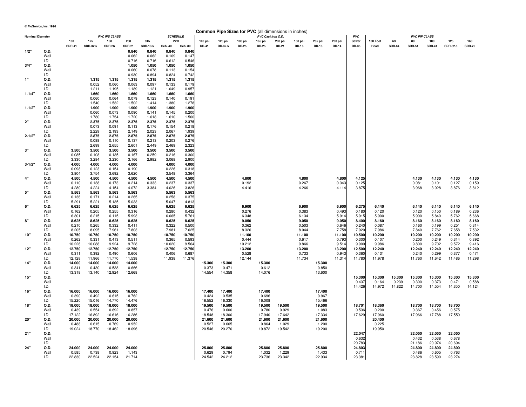| <b>SCHEDULE</b><br>PVC Cast Iron O.D.<br><b>Nominal Diameter</b><br><b>PVC IPS CLASS</b><br><b>PVC</b><br><b>PVC PIP CLASS</b><br>100<br>125<br>160<br>200<br>315<br><b>PVC</b><br>100 psi<br>125 psi<br>100 psi<br>165 psi<br>200 psi<br>150 psi<br>235 psi<br>200 psi<br>Sewer<br>100 Foot<br>63<br>80<br>100<br>125<br>160<br><b>SDR-41</b><br>SDR-32.5<br><b>SDR-26</b><br><b>SDR-21</b><br>SDR-13.5<br><b>Sch. 40</b><br>DR-32.5<br><b>SDR-64</b><br>SDR-32.5<br><b>SDR-26</b><br><b>Sch. 80</b><br><b>DR-41</b><br><b>DR-25</b><br><b>DR-25</b><br><b>DR-21</b><br><b>DR-18</b><br><b>DR-18</b><br><b>DR-14</b><br><b>DR-35</b><br>Head<br><b>SDR-51</b><br><b>SDR-41</b><br>$1/2$ "<br>O.D.<br>0.840<br>0.840<br>0.840<br>0.840<br>0.062<br>Wall<br>0.062<br>0.109<br>0.147<br>I.D.<br>0.716<br>0.716<br>0.546<br>0.612<br>3/4"<br>1.050<br>O.D.<br>1.050<br>1.050<br>1.050<br>Wall<br>0.060<br>0.078<br>0.113<br>0.154<br>I.D.<br>0.930<br>0.894<br>0.824<br>0.742<br>1"<br>O.D.<br>1.315<br>1.315<br>1.315<br>1.315<br>1.315<br>1.315<br>0.052<br>Wall<br>0.060<br>0.063<br>0.097<br>0.133<br>0.179<br>I.D.<br>1.211<br>1.121<br>1.195<br>1.189<br>1.049<br>0.957<br>$1 - 1/4"$<br>O.D.<br>1.660<br>1.660<br>1.660<br>1.660<br>1.660<br>1.660<br>0.060<br>Wall<br>0.064<br>0.079<br>0.123<br>0.191<br>0.140<br>I.D.<br>1.540<br>1.532<br>1.502<br>1.414<br>1.380<br>1.278<br>$1 - 1/2"$<br>O.D.<br>1.900<br>1.900<br>1.900<br>1.900<br>1.900<br>1.900<br>Wall<br>0.060<br>0.073<br>0.090<br>0.200<br>0.141<br>0.145<br>1.780<br>I.D.<br>1.754<br>1.720<br>1.618<br>1.610<br>1.500<br>2.375<br>2.375<br>2.375<br>2.375<br>2"<br>O.D.<br>2.375<br>2.375<br>Wall<br>0.073<br>0.091<br>0.113<br>0.176<br>0.154<br>0.218<br>I.D.<br>2.229<br>2.193<br>2.149<br>2.023<br>2.067<br>1.939<br>O.D.<br>2.875<br>2.875<br>2.875<br>2.875<br>2.875<br>2.875<br>$2 - 1/2"$<br>Wall<br>0.088<br>0.110<br>0.137<br>0.213<br>0.203<br>0.276<br>I.D.<br>2.699<br>2.655<br>2.601<br>2.449<br>2.469<br>2.323<br>3"<br>3.500<br>3.500<br>3.500<br>3.500<br>3.500<br>3.500<br>O.D.<br>3.500<br>0.085<br>0.108<br>0.135<br>0.259<br>0.300<br>Wall<br>0.167<br>0.216<br>I.D.<br>3.330<br>3.284<br>3.230<br>3.166<br>2.982<br>3.068<br>2.900<br>$3 - 1/2"$<br>O.D.<br>4.000<br>4.000<br>4.000<br>4.000<br>4.000<br>4.000<br>Wall<br>0.098<br>0.318<br>0.123<br>0.154<br>0.190<br>0.226<br>I.D.<br>3.804<br>3.754<br>3.548<br>3.364<br>3.692<br>3.620<br>4"<br>O.D.<br>4.500<br>4.800<br>4.800<br>4.130<br>4.130<br>4.130<br>4.130<br>4.500<br>4.500<br>4.500<br>4.500<br>4.500<br>4.500<br>4.800<br>4.125<br>Wall<br>0.110<br>0.138<br>0.173<br>0.214<br>0.333<br>0.237<br>0.337<br>0.192<br>0.267<br>0.343<br>0.125<br>0.081<br>0.101<br>0.127<br>0.159<br>3.928<br>I.D.<br>4.280<br>4.224<br>4.072<br>3.384<br>4.026<br>3.826<br>4.416<br>4.266<br>3.875<br>3.968<br>3.876<br>3.812<br>4.154<br>4.114<br>5"<br>5.563<br>5.563<br>5.563<br>O.D.<br>5.563<br>5.563<br>5.563<br>0.136<br>0.171<br>0.214<br>0.265<br>0.258<br>0.375<br>Wall<br>I.D.<br>5.291<br>5.221<br>5.135<br>5.033<br>5.047<br>4.813<br>6"<br>6.625<br>6.900<br>6.140<br>O.D.<br>6.625<br>6.625<br>6.625<br>6.625<br>6.625<br>6.900<br>6.900<br>6.275<br>6.140<br>6.140<br>6.140<br>6.140<br>0.205<br>0.255<br>0.432<br>0.276<br>0.493<br>0.236<br>Wall<br>0.162<br>0.316<br>0.280<br>0.383<br>0.180<br>0.120<br>0.120<br>0.150<br>0.189<br>I.D.<br>6.301<br>6.215<br>6.115<br>5.993<br>6.065<br>5.761<br>6.348<br>5.914<br>5.915<br>5.900<br>5.900<br>5.840<br>5.762<br>5.668<br>6.134<br>8"<br>8.625<br>8.625<br>8.625<br>9.050<br>8.400<br>O.D.<br>8.625<br>8.625<br>8.625<br>9.050<br>9.050<br>8.160<br>8.160<br>8.160<br>8.160<br>8.160<br>0.332<br>0.500<br>Wall<br>0.210<br>0.265<br>0.411<br>0.322<br>0.362<br>0.503<br>0.646<br>0.240<br>0.087<br>0.160<br>0.199<br>0.251<br>0.314<br>I.D.<br>8.205<br>8.095<br>7.961<br>7.803<br>7.981<br>7.625<br>8.326<br>8.044<br>7.758<br>7.920<br>7.986<br>7.840<br>7.762<br>7.658<br>7.532<br>10"<br>10.750<br>10.750<br>10.750<br>10.750<br>10.750<br>10.750<br>11.100<br>11.100<br>11.100<br>10.500<br>10.200<br>10.200<br>10.200<br>10.200<br>10.200<br>O.D.<br>0.300<br>0.200<br>0.392<br>Wall<br>0.262<br>0.331<br>0.413<br>0.511<br>0.365<br>0.593<br>0.444<br>0.617<br>0.793<br>0.107<br>0.249<br>0.314<br>I.D.<br>10.088<br>9.924<br>9.728<br>9.564<br>10.212<br>9.866<br>9.514<br>9.900<br>9.702<br>9.572<br>9.416<br>10.226<br>10.020<br>9.986<br>9.800<br>12"<br>O.D.<br>12.750<br>12.750<br>12.750<br>12.750<br>12.750<br>12.750<br>13.200<br>13.200<br>13.200<br>12.500<br>12.240<br>12.240<br>12.240<br>12.240<br>12.240<br>0.687<br>0.528<br>0.733<br>0.943<br>0.240<br>0.299<br>0.377<br>0.471<br>Wall<br>0.311<br>0.392<br>0.490<br>0.606<br>0.406<br>0.360<br>0.131<br>11.938<br>11.376<br>11.734<br>11.978<br>11.486<br>11.298<br>I.D.<br>12.128<br>11.966<br>11.770<br>11.538<br>12.144<br>11.314<br>11.780<br>11.760<br>11.642<br>15.300<br>14"<br>O.D.<br>14.000<br>14.000<br>14.000<br>14.000<br>15.300<br>15.300<br>15.300<br>Wall<br>0.341<br>0.430<br>0.538<br>0.666<br>0.373<br>0.471<br>0.612<br>0.850<br>14.358<br>I.D.<br>13.318<br>13.140<br>12.924<br>12.668<br>14.554<br>14.076<br>13.600<br>$15"$<br>15.300<br>15.300<br>O.D.<br>15.300<br>15.300<br>15.300<br>15.300<br>15.300<br>0.300<br>0.588<br>Wall<br>0.437<br>0.164<br>0.239<br>0.373<br>0.471<br>14.972<br>14.822<br>14.700<br>14.554<br>14.350<br>I.D.<br>14.426<br>14.124<br>16"<br>16.000<br>16.000<br>16.000<br>16.000<br>17.400<br>17.400<br>17.400<br>17.400<br>O.D.<br>0.390<br>0.492<br>0.762<br>0.424<br>0.535<br>0.696<br>Wall<br>0.615<br>0.967<br>16.330<br>16.008<br>I.D.<br>15.220<br>15.016<br>14.770<br>14.476<br>16.552<br>15.466<br>18"<br>O.D.<br>18.000<br>18.000<br>18.000<br>18.000<br>19.500<br>19.500<br>19.500<br>19.500<br>19.500<br>18.701<br>18.360<br>18.700<br>18.700<br>18.700<br>Wall<br>0.439<br>0.554<br>0.692<br>0.857<br>0.476<br>0.600<br>0.780<br>0.929<br>1.083<br>0.536<br>0.200<br>0.367<br>0.456<br>0.575<br>17.629<br>17.966<br>17.788<br>17.550<br>I.D.<br>17.122<br>16.892<br>16.616<br>16.286<br>18.548<br>18.300<br>17.940<br>17.642<br>17.334<br>17.960<br>20"<br>O.D.<br>20.000<br>20.000<br>20.000<br>20.000<br>21.600<br>21.600<br>21.600<br>21.600<br>21.600<br>20.400<br>Wall<br>0.488<br>0.615<br>0.769<br>0.952<br>0.527<br>0.665<br>0.864<br>1.029<br>1.200<br>0.225<br>I.D.<br>19.024<br>18.770<br>18.462<br>18.096<br>20.546<br>20.270<br>19.872<br>19.542<br>19.200<br>19.950<br>21"<br>22.047<br>22.050<br>22.050<br>22.050<br>O.D.<br>Wall<br>0.632<br>0.432<br>0.538<br>0.678<br>20.974<br>I.D.<br>20.783<br>21.186<br>20.694<br>24"<br>24.000<br>24.000<br>24.000<br>24.000<br>25.800<br>25.800<br>25.800<br>25.800<br>25.800<br>24.800<br>24.800<br>24.800<br>O.D.<br>24.803<br>0.738<br>0.923<br>0.629<br>0.794<br>0.711<br>0.486<br>Wall<br>0.585<br>1.143<br>1.032<br>1.229<br>1.433<br>0.605<br>0.763<br>I.D.<br>22.830<br>22.524<br>22.154<br>21.714<br>24.542<br>24.212<br>23.736<br>23.342<br>22.934<br>23.381<br>23.828<br>23.590<br>23.274 |  |  |  |  |  |  |  | <b>Common Pipe Sizes for PVC</b> (all dimensions in inches) |  |  |  |  |  |  |  |  |
|--------------------------------------------------------------------------------------------------------------------------------------------------------------------------------------------------------------------------------------------------------------------------------------------------------------------------------------------------------------------------------------------------------------------------------------------------------------------------------------------------------------------------------------------------------------------------------------------------------------------------------------------------------------------------------------------------------------------------------------------------------------------------------------------------------------------------------------------------------------------------------------------------------------------------------------------------------------------------------------------------------------------------------------------------------------------------------------------------------------------------------------------------------------------------------------------------------------------------------------------------------------------------------------------------------------------------------------------------------------------------------------------------------------------------------------------------------------------------------------------------------------------------------------------------------------------------------------------------------------------------------------------------------------------------------------------------------------------------------------------------------------------------------------------------------------------------------------------------------------------------------------------------------------------------------------------------------------------------------------------------------------------------------------------------------------------------------------------------------------------------------------------------------------------------------------------------------------------------------------------------------------------------------------------------------------------------------------------------------------------------------------------------------------------------------------------------------------------------------------------------------------------------------------------------------------------------------------------------------------------------------------------------------------------------------------------------------------------------------------------------------------------------------------------------------------------------------------------------------------------------------------------------------------------------------------------------------------------------------------------------------------------------------------------------------------------------------------------------------------------------------------------------------------------------------------------------------------------------------------------------------------------------------------------------------------------------------------------------------------------------------------------------------------------------------------------------------------------------------------------------------------------------------------------------------------------------------------------------------------------------------------------------------------------------------------------------------------------------------------------------------------------------------------------------------------------------------------------------------------------------------------------------------------------------------------------------------------------------------------------------------------------------------------------------------------------------------------------------------------------------------------------------------------------------------------------------------------------------------------------------------------------------------------------------------------------------------------------------------------------------------------------------------------------------------------------------------------------------------------------------------------------------------------------------------------------------------------------------------------------------------------------------------------------------------------------------------------------------------------------------------------------------------------------------------------------------------------------------------------------------------------------------------------------------------------------------------------------------------------------------------------------------------------------------------------------------------------------------------------------------------------------------------------------------------------------------------------------------------------------------------------------------------------------------------------------------------------------------------------------------------------------------------------------------------------------------------------------------------------------------------------------------------------------------------------------------------------------------------------------------------------------------------------------------------------------------------------------------------------------------------------------------------------------------------------------------------------------------------------------------------------------------------------------------------------------------------------------------------------------------------------------------------------------------------------------------------------------------------------------------------------------------------------------------------------------------------------------------------------------------------------------------------------------------------------------------------------------------------------------------------------------------------------------------------------------------------------------------------------------------------------------------------------------------------------------------------------------------------------------------------------------------------------------------------------------------------------------------------------------------------------------------------------------------------------------------------------------------------------------------------------------------------------------------------------------------------------------------------------------------------------------------------------------------------------------------------------------------------------------|--|--|--|--|--|--|--|-------------------------------------------------------------|--|--|--|--|--|--|--|--|
|                                                                                                                                                                                                                                                                                                                                                                                                                                                                                                                                                                                                                                                                                                                                                                                                                                                                                                                                                                                                                                                                                                                                                                                                                                                                                                                                                                                                                                                                                                                                                                                                                                                                                                                                                                                                                                                                                                                                                                                                                                                                                                                                                                                                                                                                                                                                                                                                                                                                                                                                                                                                                                                                                                                                                                                                                                                                                                                                                                                                                                                                                                                                                                                                                                                                                                                                                                                                                                                                                                                                                                                                                                                                                                                                                                                                                                                                                                                                                                                                                                                                                                                                                                                                                                                                                                                                                                                                                                                                                                                                                                                                                                                                                                                                                                                                                                                                                                                                                                                                                                                                                                                                                                                                                                                                                                                                                                                                                                                                                                                                                                                                                                                                                                                                                                                                                                                                                                                                                                                                                                                                                                                                                                                                                                                                                                                                                                                                                                                                                                                                                                                                                                                                                                                                                                                                                                                                                                                                                                                                                                                                                                                    |  |  |  |  |  |  |  |                                                             |  |  |  |  |  |  |  |  |
|                                                                                                                                                                                                                                                                                                                                                                                                                                                                                                                                                                                                                                                                                                                                                                                                                                                                                                                                                                                                                                                                                                                                                                                                                                                                                                                                                                                                                                                                                                                                                                                                                                                                                                                                                                                                                                                                                                                                                                                                                                                                                                                                                                                                                                                                                                                                                                                                                                                                                                                                                                                                                                                                                                                                                                                                                                                                                                                                                                                                                                                                                                                                                                                                                                                                                                                                                                                                                                                                                                                                                                                                                                                                                                                                                                                                                                                                                                                                                                                                                                                                                                                                                                                                                                                                                                                                                                                                                                                                                                                                                                                                                                                                                                                                                                                                                                                                                                                                                                                                                                                                                                                                                                                                                                                                                                                                                                                                                                                                                                                                                                                                                                                                                                                                                                                                                                                                                                                                                                                                                                                                                                                                                                                                                                                                                                                                                                                                                                                                                                                                                                                                                                                                                                                                                                                                                                                                                                                                                                                                                                                                                                                    |  |  |  |  |  |  |  |                                                             |  |  |  |  |  |  |  |  |
|                                                                                                                                                                                                                                                                                                                                                                                                                                                                                                                                                                                                                                                                                                                                                                                                                                                                                                                                                                                                                                                                                                                                                                                                                                                                                                                                                                                                                                                                                                                                                                                                                                                                                                                                                                                                                                                                                                                                                                                                                                                                                                                                                                                                                                                                                                                                                                                                                                                                                                                                                                                                                                                                                                                                                                                                                                                                                                                                                                                                                                                                                                                                                                                                                                                                                                                                                                                                                                                                                                                                                                                                                                                                                                                                                                                                                                                                                                                                                                                                                                                                                                                                                                                                                                                                                                                                                                                                                                                                                                                                                                                                                                                                                                                                                                                                                                                                                                                                                                                                                                                                                                                                                                                                                                                                                                                                                                                                                                                                                                                                                                                                                                                                                                                                                                                                                                                                                                                                                                                                                                                                                                                                                                                                                                                                                                                                                                                                                                                                                                                                                                                                                                                                                                                                                                                                                                                                                                                                                                                                                                                                                                                    |  |  |  |  |  |  |  |                                                             |  |  |  |  |  |  |  |  |
|                                                                                                                                                                                                                                                                                                                                                                                                                                                                                                                                                                                                                                                                                                                                                                                                                                                                                                                                                                                                                                                                                                                                                                                                                                                                                                                                                                                                                                                                                                                                                                                                                                                                                                                                                                                                                                                                                                                                                                                                                                                                                                                                                                                                                                                                                                                                                                                                                                                                                                                                                                                                                                                                                                                                                                                                                                                                                                                                                                                                                                                                                                                                                                                                                                                                                                                                                                                                                                                                                                                                                                                                                                                                                                                                                                                                                                                                                                                                                                                                                                                                                                                                                                                                                                                                                                                                                                                                                                                                                                                                                                                                                                                                                                                                                                                                                                                                                                                                                                                                                                                                                                                                                                                                                                                                                                                                                                                                                                                                                                                                                                                                                                                                                                                                                                                                                                                                                                                                                                                                                                                                                                                                                                                                                                                                                                                                                                                                                                                                                                                                                                                                                                                                                                                                                                                                                                                                                                                                                                                                                                                                                                                    |  |  |  |  |  |  |  |                                                             |  |  |  |  |  |  |  |  |
|                                                                                                                                                                                                                                                                                                                                                                                                                                                                                                                                                                                                                                                                                                                                                                                                                                                                                                                                                                                                                                                                                                                                                                                                                                                                                                                                                                                                                                                                                                                                                                                                                                                                                                                                                                                                                                                                                                                                                                                                                                                                                                                                                                                                                                                                                                                                                                                                                                                                                                                                                                                                                                                                                                                                                                                                                                                                                                                                                                                                                                                                                                                                                                                                                                                                                                                                                                                                                                                                                                                                                                                                                                                                                                                                                                                                                                                                                                                                                                                                                                                                                                                                                                                                                                                                                                                                                                                                                                                                                                                                                                                                                                                                                                                                                                                                                                                                                                                                                                                                                                                                                                                                                                                                                                                                                                                                                                                                                                                                                                                                                                                                                                                                                                                                                                                                                                                                                                                                                                                                                                                                                                                                                                                                                                                                                                                                                                                                                                                                                                                                                                                                                                                                                                                                                                                                                                                                                                                                                                                                                                                                                                                    |  |  |  |  |  |  |  |                                                             |  |  |  |  |  |  |  |  |
|                                                                                                                                                                                                                                                                                                                                                                                                                                                                                                                                                                                                                                                                                                                                                                                                                                                                                                                                                                                                                                                                                                                                                                                                                                                                                                                                                                                                                                                                                                                                                                                                                                                                                                                                                                                                                                                                                                                                                                                                                                                                                                                                                                                                                                                                                                                                                                                                                                                                                                                                                                                                                                                                                                                                                                                                                                                                                                                                                                                                                                                                                                                                                                                                                                                                                                                                                                                                                                                                                                                                                                                                                                                                                                                                                                                                                                                                                                                                                                                                                                                                                                                                                                                                                                                                                                                                                                                                                                                                                                                                                                                                                                                                                                                                                                                                                                                                                                                                                                                                                                                                                                                                                                                                                                                                                                                                                                                                                                                                                                                                                                                                                                                                                                                                                                                                                                                                                                                                                                                                                                                                                                                                                                                                                                                                                                                                                                                                                                                                                                                                                                                                                                                                                                                                                                                                                                                                                                                                                                                                                                                                                                                    |  |  |  |  |  |  |  |                                                             |  |  |  |  |  |  |  |  |
|                                                                                                                                                                                                                                                                                                                                                                                                                                                                                                                                                                                                                                                                                                                                                                                                                                                                                                                                                                                                                                                                                                                                                                                                                                                                                                                                                                                                                                                                                                                                                                                                                                                                                                                                                                                                                                                                                                                                                                                                                                                                                                                                                                                                                                                                                                                                                                                                                                                                                                                                                                                                                                                                                                                                                                                                                                                                                                                                                                                                                                                                                                                                                                                                                                                                                                                                                                                                                                                                                                                                                                                                                                                                                                                                                                                                                                                                                                                                                                                                                                                                                                                                                                                                                                                                                                                                                                                                                                                                                                                                                                                                                                                                                                                                                                                                                                                                                                                                                                                                                                                                                                                                                                                                                                                                                                                                                                                                                                                                                                                                                                                                                                                                                                                                                                                                                                                                                                                                                                                                                                                                                                                                                                                                                                                                                                                                                                                                                                                                                                                                                                                                                                                                                                                                                                                                                                                                                                                                                                                                                                                                                                                    |  |  |  |  |  |  |  |                                                             |  |  |  |  |  |  |  |  |
|                                                                                                                                                                                                                                                                                                                                                                                                                                                                                                                                                                                                                                                                                                                                                                                                                                                                                                                                                                                                                                                                                                                                                                                                                                                                                                                                                                                                                                                                                                                                                                                                                                                                                                                                                                                                                                                                                                                                                                                                                                                                                                                                                                                                                                                                                                                                                                                                                                                                                                                                                                                                                                                                                                                                                                                                                                                                                                                                                                                                                                                                                                                                                                                                                                                                                                                                                                                                                                                                                                                                                                                                                                                                                                                                                                                                                                                                                                                                                                                                                                                                                                                                                                                                                                                                                                                                                                                                                                                                                                                                                                                                                                                                                                                                                                                                                                                                                                                                                                                                                                                                                                                                                                                                                                                                                                                                                                                                                                                                                                                                                                                                                                                                                                                                                                                                                                                                                                                                                                                                                                                                                                                                                                                                                                                                                                                                                                                                                                                                                                                                                                                                                                                                                                                                                                                                                                                                                                                                                                                                                                                                                                                    |  |  |  |  |  |  |  |                                                             |  |  |  |  |  |  |  |  |
|                                                                                                                                                                                                                                                                                                                                                                                                                                                                                                                                                                                                                                                                                                                                                                                                                                                                                                                                                                                                                                                                                                                                                                                                                                                                                                                                                                                                                                                                                                                                                                                                                                                                                                                                                                                                                                                                                                                                                                                                                                                                                                                                                                                                                                                                                                                                                                                                                                                                                                                                                                                                                                                                                                                                                                                                                                                                                                                                                                                                                                                                                                                                                                                                                                                                                                                                                                                                                                                                                                                                                                                                                                                                                                                                                                                                                                                                                                                                                                                                                                                                                                                                                                                                                                                                                                                                                                                                                                                                                                                                                                                                                                                                                                                                                                                                                                                                                                                                                                                                                                                                                                                                                                                                                                                                                                                                                                                                                                                                                                                                                                                                                                                                                                                                                                                                                                                                                                                                                                                                                                                                                                                                                                                                                                                                                                                                                                                                                                                                                                                                                                                                                                                                                                                                                                                                                                                                                                                                                                                                                                                                                                                    |  |  |  |  |  |  |  |                                                             |  |  |  |  |  |  |  |  |
|                                                                                                                                                                                                                                                                                                                                                                                                                                                                                                                                                                                                                                                                                                                                                                                                                                                                                                                                                                                                                                                                                                                                                                                                                                                                                                                                                                                                                                                                                                                                                                                                                                                                                                                                                                                                                                                                                                                                                                                                                                                                                                                                                                                                                                                                                                                                                                                                                                                                                                                                                                                                                                                                                                                                                                                                                                                                                                                                                                                                                                                                                                                                                                                                                                                                                                                                                                                                                                                                                                                                                                                                                                                                                                                                                                                                                                                                                                                                                                                                                                                                                                                                                                                                                                                                                                                                                                                                                                                                                                                                                                                                                                                                                                                                                                                                                                                                                                                                                                                                                                                                                                                                                                                                                                                                                                                                                                                                                                                                                                                                                                                                                                                                                                                                                                                                                                                                                                                                                                                                                                                                                                                                                                                                                                                                                                                                                                                                                                                                                                                                                                                                                                                                                                                                                                                                                                                                                                                                                                                                                                                                                                                    |  |  |  |  |  |  |  |                                                             |  |  |  |  |  |  |  |  |
|                                                                                                                                                                                                                                                                                                                                                                                                                                                                                                                                                                                                                                                                                                                                                                                                                                                                                                                                                                                                                                                                                                                                                                                                                                                                                                                                                                                                                                                                                                                                                                                                                                                                                                                                                                                                                                                                                                                                                                                                                                                                                                                                                                                                                                                                                                                                                                                                                                                                                                                                                                                                                                                                                                                                                                                                                                                                                                                                                                                                                                                                                                                                                                                                                                                                                                                                                                                                                                                                                                                                                                                                                                                                                                                                                                                                                                                                                                                                                                                                                                                                                                                                                                                                                                                                                                                                                                                                                                                                                                                                                                                                                                                                                                                                                                                                                                                                                                                                                                                                                                                                                                                                                                                                                                                                                                                                                                                                                                                                                                                                                                                                                                                                                                                                                                                                                                                                                                                                                                                                                                                                                                                                                                                                                                                                                                                                                                                                                                                                                                                                                                                                                                                                                                                                                                                                                                                                                                                                                                                                                                                                                                                    |  |  |  |  |  |  |  |                                                             |  |  |  |  |  |  |  |  |
|                                                                                                                                                                                                                                                                                                                                                                                                                                                                                                                                                                                                                                                                                                                                                                                                                                                                                                                                                                                                                                                                                                                                                                                                                                                                                                                                                                                                                                                                                                                                                                                                                                                                                                                                                                                                                                                                                                                                                                                                                                                                                                                                                                                                                                                                                                                                                                                                                                                                                                                                                                                                                                                                                                                                                                                                                                                                                                                                                                                                                                                                                                                                                                                                                                                                                                                                                                                                                                                                                                                                                                                                                                                                                                                                                                                                                                                                                                                                                                                                                                                                                                                                                                                                                                                                                                                                                                                                                                                                                                                                                                                                                                                                                                                                                                                                                                                                                                                                                                                                                                                                                                                                                                                                                                                                                                                                                                                                                                                                                                                                                                                                                                                                                                                                                                                                                                                                                                                                                                                                                                                                                                                                                                                                                                                                                                                                                                                                                                                                                                                                                                                                                                                                                                                                                                                                                                                                                                                                                                                                                                                                                                                    |  |  |  |  |  |  |  |                                                             |  |  |  |  |  |  |  |  |
|                                                                                                                                                                                                                                                                                                                                                                                                                                                                                                                                                                                                                                                                                                                                                                                                                                                                                                                                                                                                                                                                                                                                                                                                                                                                                                                                                                                                                                                                                                                                                                                                                                                                                                                                                                                                                                                                                                                                                                                                                                                                                                                                                                                                                                                                                                                                                                                                                                                                                                                                                                                                                                                                                                                                                                                                                                                                                                                                                                                                                                                                                                                                                                                                                                                                                                                                                                                                                                                                                                                                                                                                                                                                                                                                                                                                                                                                                                                                                                                                                                                                                                                                                                                                                                                                                                                                                                                                                                                                                                                                                                                                                                                                                                                                                                                                                                                                                                                                                                                                                                                                                                                                                                                                                                                                                                                                                                                                                                                                                                                                                                                                                                                                                                                                                                                                                                                                                                                                                                                                                                                                                                                                                                                                                                                                                                                                                                                                                                                                                                                                                                                                                                                                                                                                                                                                                                                                                                                                                                                                                                                                                                                    |  |  |  |  |  |  |  |                                                             |  |  |  |  |  |  |  |  |
|                                                                                                                                                                                                                                                                                                                                                                                                                                                                                                                                                                                                                                                                                                                                                                                                                                                                                                                                                                                                                                                                                                                                                                                                                                                                                                                                                                                                                                                                                                                                                                                                                                                                                                                                                                                                                                                                                                                                                                                                                                                                                                                                                                                                                                                                                                                                                                                                                                                                                                                                                                                                                                                                                                                                                                                                                                                                                                                                                                                                                                                                                                                                                                                                                                                                                                                                                                                                                                                                                                                                                                                                                                                                                                                                                                                                                                                                                                                                                                                                                                                                                                                                                                                                                                                                                                                                                                                                                                                                                                                                                                                                                                                                                                                                                                                                                                                                                                                                                                                                                                                                                                                                                                                                                                                                                                                                                                                                                                                                                                                                                                                                                                                                                                                                                                                                                                                                                                                                                                                                                                                                                                                                                                                                                                                                                                                                                                                                                                                                                                                                                                                                                                                                                                                                                                                                                                                                                                                                                                                                                                                                                                                    |  |  |  |  |  |  |  |                                                             |  |  |  |  |  |  |  |  |
|                                                                                                                                                                                                                                                                                                                                                                                                                                                                                                                                                                                                                                                                                                                                                                                                                                                                                                                                                                                                                                                                                                                                                                                                                                                                                                                                                                                                                                                                                                                                                                                                                                                                                                                                                                                                                                                                                                                                                                                                                                                                                                                                                                                                                                                                                                                                                                                                                                                                                                                                                                                                                                                                                                                                                                                                                                                                                                                                                                                                                                                                                                                                                                                                                                                                                                                                                                                                                                                                                                                                                                                                                                                                                                                                                                                                                                                                                                                                                                                                                                                                                                                                                                                                                                                                                                                                                                                                                                                                                                                                                                                                                                                                                                                                                                                                                                                                                                                                                                                                                                                                                                                                                                                                                                                                                                                                                                                                                                                                                                                                                                                                                                                                                                                                                                                                                                                                                                                                                                                                                                                                                                                                                                                                                                                                                                                                                                                                                                                                                                                                                                                                                                                                                                                                                                                                                                                                                                                                                                                                                                                                                                                    |  |  |  |  |  |  |  |                                                             |  |  |  |  |  |  |  |  |
|                                                                                                                                                                                                                                                                                                                                                                                                                                                                                                                                                                                                                                                                                                                                                                                                                                                                                                                                                                                                                                                                                                                                                                                                                                                                                                                                                                                                                                                                                                                                                                                                                                                                                                                                                                                                                                                                                                                                                                                                                                                                                                                                                                                                                                                                                                                                                                                                                                                                                                                                                                                                                                                                                                                                                                                                                                                                                                                                                                                                                                                                                                                                                                                                                                                                                                                                                                                                                                                                                                                                                                                                                                                                                                                                                                                                                                                                                                                                                                                                                                                                                                                                                                                                                                                                                                                                                                                                                                                                                                                                                                                                                                                                                                                                                                                                                                                                                                                                                                                                                                                                                                                                                                                                                                                                                                                                                                                                                                                                                                                                                                                                                                                                                                                                                                                                                                                                                                                                                                                                                                                                                                                                                                                                                                                                                                                                                                                                                                                                                                                                                                                                                                                                                                                                                                                                                                                                                                                                                                                                                                                                                                                    |  |  |  |  |  |  |  |                                                             |  |  |  |  |  |  |  |  |
|                                                                                                                                                                                                                                                                                                                                                                                                                                                                                                                                                                                                                                                                                                                                                                                                                                                                                                                                                                                                                                                                                                                                                                                                                                                                                                                                                                                                                                                                                                                                                                                                                                                                                                                                                                                                                                                                                                                                                                                                                                                                                                                                                                                                                                                                                                                                                                                                                                                                                                                                                                                                                                                                                                                                                                                                                                                                                                                                                                                                                                                                                                                                                                                                                                                                                                                                                                                                                                                                                                                                                                                                                                                                                                                                                                                                                                                                                                                                                                                                                                                                                                                                                                                                                                                                                                                                                                                                                                                                                                                                                                                                                                                                                                                                                                                                                                                                                                                                                                                                                                                                                                                                                                                                                                                                                                                                                                                                                                                                                                                                                                                                                                                                                                                                                                                                                                                                                                                                                                                                                                                                                                                                                                                                                                                                                                                                                                                                                                                                                                                                                                                                                                                                                                                                                                                                                                                                                                                                                                                                                                                                                                                    |  |  |  |  |  |  |  |                                                             |  |  |  |  |  |  |  |  |
|                                                                                                                                                                                                                                                                                                                                                                                                                                                                                                                                                                                                                                                                                                                                                                                                                                                                                                                                                                                                                                                                                                                                                                                                                                                                                                                                                                                                                                                                                                                                                                                                                                                                                                                                                                                                                                                                                                                                                                                                                                                                                                                                                                                                                                                                                                                                                                                                                                                                                                                                                                                                                                                                                                                                                                                                                                                                                                                                                                                                                                                                                                                                                                                                                                                                                                                                                                                                                                                                                                                                                                                                                                                                                                                                                                                                                                                                                                                                                                                                                                                                                                                                                                                                                                                                                                                                                                                                                                                                                                                                                                                                                                                                                                                                                                                                                                                                                                                                                                                                                                                                                                                                                                                                                                                                                                                                                                                                                                                                                                                                                                                                                                                                                                                                                                                                                                                                                                                                                                                                                                                                                                                                                                                                                                                                                                                                                                                                                                                                                                                                                                                                                                                                                                                                                                                                                                                                                                                                                                                                                                                                                                                    |  |  |  |  |  |  |  |                                                             |  |  |  |  |  |  |  |  |
|                                                                                                                                                                                                                                                                                                                                                                                                                                                                                                                                                                                                                                                                                                                                                                                                                                                                                                                                                                                                                                                                                                                                                                                                                                                                                                                                                                                                                                                                                                                                                                                                                                                                                                                                                                                                                                                                                                                                                                                                                                                                                                                                                                                                                                                                                                                                                                                                                                                                                                                                                                                                                                                                                                                                                                                                                                                                                                                                                                                                                                                                                                                                                                                                                                                                                                                                                                                                                                                                                                                                                                                                                                                                                                                                                                                                                                                                                                                                                                                                                                                                                                                                                                                                                                                                                                                                                                                                                                                                                                                                                                                                                                                                                                                                                                                                                                                                                                                                                                                                                                                                                                                                                                                                                                                                                                                                                                                                                                                                                                                                                                                                                                                                                                                                                                                                                                                                                                                                                                                                                                                                                                                                                                                                                                                                                                                                                                                                                                                                                                                                                                                                                                                                                                                                                                                                                                                                                                                                                                                                                                                                                                                    |  |  |  |  |  |  |  |                                                             |  |  |  |  |  |  |  |  |
|                                                                                                                                                                                                                                                                                                                                                                                                                                                                                                                                                                                                                                                                                                                                                                                                                                                                                                                                                                                                                                                                                                                                                                                                                                                                                                                                                                                                                                                                                                                                                                                                                                                                                                                                                                                                                                                                                                                                                                                                                                                                                                                                                                                                                                                                                                                                                                                                                                                                                                                                                                                                                                                                                                                                                                                                                                                                                                                                                                                                                                                                                                                                                                                                                                                                                                                                                                                                                                                                                                                                                                                                                                                                                                                                                                                                                                                                                                                                                                                                                                                                                                                                                                                                                                                                                                                                                                                                                                                                                                                                                                                                                                                                                                                                                                                                                                                                                                                                                                                                                                                                                                                                                                                                                                                                                                                                                                                                                                                                                                                                                                                                                                                                                                                                                                                                                                                                                                                                                                                                                                                                                                                                                                                                                                                                                                                                                                                                                                                                                                                                                                                                                                                                                                                                                                                                                                                                                                                                                                                                                                                                                                                    |  |  |  |  |  |  |  |                                                             |  |  |  |  |  |  |  |  |
|                                                                                                                                                                                                                                                                                                                                                                                                                                                                                                                                                                                                                                                                                                                                                                                                                                                                                                                                                                                                                                                                                                                                                                                                                                                                                                                                                                                                                                                                                                                                                                                                                                                                                                                                                                                                                                                                                                                                                                                                                                                                                                                                                                                                                                                                                                                                                                                                                                                                                                                                                                                                                                                                                                                                                                                                                                                                                                                                                                                                                                                                                                                                                                                                                                                                                                                                                                                                                                                                                                                                                                                                                                                                                                                                                                                                                                                                                                                                                                                                                                                                                                                                                                                                                                                                                                                                                                                                                                                                                                                                                                                                                                                                                                                                                                                                                                                                                                                                                                                                                                                                                                                                                                                                                                                                                                                                                                                                                                                                                                                                                                                                                                                                                                                                                                                                                                                                                                                                                                                                                                                                                                                                                                                                                                                                                                                                                                                                                                                                                                                                                                                                                                                                                                                                                                                                                                                                                                                                                                                                                                                                                                                    |  |  |  |  |  |  |  |                                                             |  |  |  |  |  |  |  |  |
|                                                                                                                                                                                                                                                                                                                                                                                                                                                                                                                                                                                                                                                                                                                                                                                                                                                                                                                                                                                                                                                                                                                                                                                                                                                                                                                                                                                                                                                                                                                                                                                                                                                                                                                                                                                                                                                                                                                                                                                                                                                                                                                                                                                                                                                                                                                                                                                                                                                                                                                                                                                                                                                                                                                                                                                                                                                                                                                                                                                                                                                                                                                                                                                                                                                                                                                                                                                                                                                                                                                                                                                                                                                                                                                                                                                                                                                                                                                                                                                                                                                                                                                                                                                                                                                                                                                                                                                                                                                                                                                                                                                                                                                                                                                                                                                                                                                                                                                                                                                                                                                                                                                                                                                                                                                                                                                                                                                                                                                                                                                                                                                                                                                                                                                                                                                                                                                                                                                                                                                                                                                                                                                                                                                                                                                                                                                                                                                                                                                                                                                                                                                                                                                                                                                                                                                                                                                                                                                                                                                                                                                                                                                    |  |  |  |  |  |  |  |                                                             |  |  |  |  |  |  |  |  |
|                                                                                                                                                                                                                                                                                                                                                                                                                                                                                                                                                                                                                                                                                                                                                                                                                                                                                                                                                                                                                                                                                                                                                                                                                                                                                                                                                                                                                                                                                                                                                                                                                                                                                                                                                                                                                                                                                                                                                                                                                                                                                                                                                                                                                                                                                                                                                                                                                                                                                                                                                                                                                                                                                                                                                                                                                                                                                                                                                                                                                                                                                                                                                                                                                                                                                                                                                                                                                                                                                                                                                                                                                                                                                                                                                                                                                                                                                                                                                                                                                                                                                                                                                                                                                                                                                                                                                                                                                                                                                                                                                                                                                                                                                                                                                                                                                                                                                                                                                                                                                                                                                                                                                                                                                                                                                                                                                                                                                                                                                                                                                                                                                                                                                                                                                                                                                                                                                                                                                                                                                                                                                                                                                                                                                                                                                                                                                                                                                                                                                                                                                                                                                                                                                                                                                                                                                                                                                                                                                                                                                                                                                                                    |  |  |  |  |  |  |  |                                                             |  |  |  |  |  |  |  |  |
|                                                                                                                                                                                                                                                                                                                                                                                                                                                                                                                                                                                                                                                                                                                                                                                                                                                                                                                                                                                                                                                                                                                                                                                                                                                                                                                                                                                                                                                                                                                                                                                                                                                                                                                                                                                                                                                                                                                                                                                                                                                                                                                                                                                                                                                                                                                                                                                                                                                                                                                                                                                                                                                                                                                                                                                                                                                                                                                                                                                                                                                                                                                                                                                                                                                                                                                                                                                                                                                                                                                                                                                                                                                                                                                                                                                                                                                                                                                                                                                                                                                                                                                                                                                                                                                                                                                                                                                                                                                                                                                                                                                                                                                                                                                                                                                                                                                                                                                                                                                                                                                                                                                                                                                                                                                                                                                                                                                                                                                                                                                                                                                                                                                                                                                                                                                                                                                                                                                                                                                                                                                                                                                                                                                                                                                                                                                                                                                                                                                                                                                                                                                                                                                                                                                                                                                                                                                                                                                                                                                                                                                                                                                    |  |  |  |  |  |  |  |                                                             |  |  |  |  |  |  |  |  |
|                                                                                                                                                                                                                                                                                                                                                                                                                                                                                                                                                                                                                                                                                                                                                                                                                                                                                                                                                                                                                                                                                                                                                                                                                                                                                                                                                                                                                                                                                                                                                                                                                                                                                                                                                                                                                                                                                                                                                                                                                                                                                                                                                                                                                                                                                                                                                                                                                                                                                                                                                                                                                                                                                                                                                                                                                                                                                                                                                                                                                                                                                                                                                                                                                                                                                                                                                                                                                                                                                                                                                                                                                                                                                                                                                                                                                                                                                                                                                                                                                                                                                                                                                                                                                                                                                                                                                                                                                                                                                                                                                                                                                                                                                                                                                                                                                                                                                                                                                                                                                                                                                                                                                                                                                                                                                                                                                                                                                                                                                                                                                                                                                                                                                                                                                                                                                                                                                                                                                                                                                                                                                                                                                                                                                                                                                                                                                                                                                                                                                                                                                                                                                                                                                                                                                                                                                                                                                                                                                                                                                                                                                                                    |  |  |  |  |  |  |  |                                                             |  |  |  |  |  |  |  |  |
|                                                                                                                                                                                                                                                                                                                                                                                                                                                                                                                                                                                                                                                                                                                                                                                                                                                                                                                                                                                                                                                                                                                                                                                                                                                                                                                                                                                                                                                                                                                                                                                                                                                                                                                                                                                                                                                                                                                                                                                                                                                                                                                                                                                                                                                                                                                                                                                                                                                                                                                                                                                                                                                                                                                                                                                                                                                                                                                                                                                                                                                                                                                                                                                                                                                                                                                                                                                                                                                                                                                                                                                                                                                                                                                                                                                                                                                                                                                                                                                                                                                                                                                                                                                                                                                                                                                                                                                                                                                                                                                                                                                                                                                                                                                                                                                                                                                                                                                                                                                                                                                                                                                                                                                                                                                                                                                                                                                                                                                                                                                                                                                                                                                                                                                                                                                                                                                                                                                                                                                                                                                                                                                                                                                                                                                                                                                                                                                                                                                                                                                                                                                                                                                                                                                                                                                                                                                                                                                                                                                                                                                                                                                    |  |  |  |  |  |  |  |                                                             |  |  |  |  |  |  |  |  |
|                                                                                                                                                                                                                                                                                                                                                                                                                                                                                                                                                                                                                                                                                                                                                                                                                                                                                                                                                                                                                                                                                                                                                                                                                                                                                                                                                                                                                                                                                                                                                                                                                                                                                                                                                                                                                                                                                                                                                                                                                                                                                                                                                                                                                                                                                                                                                                                                                                                                                                                                                                                                                                                                                                                                                                                                                                                                                                                                                                                                                                                                                                                                                                                                                                                                                                                                                                                                                                                                                                                                                                                                                                                                                                                                                                                                                                                                                                                                                                                                                                                                                                                                                                                                                                                                                                                                                                                                                                                                                                                                                                                                                                                                                                                                                                                                                                                                                                                                                                                                                                                                                                                                                                                                                                                                                                                                                                                                                                                                                                                                                                                                                                                                                                                                                                                                                                                                                                                                                                                                                                                                                                                                                                                                                                                                                                                                                                                                                                                                                                                                                                                                                                                                                                                                                                                                                                                                                                                                                                                                                                                                                                                    |  |  |  |  |  |  |  |                                                             |  |  |  |  |  |  |  |  |
|                                                                                                                                                                                                                                                                                                                                                                                                                                                                                                                                                                                                                                                                                                                                                                                                                                                                                                                                                                                                                                                                                                                                                                                                                                                                                                                                                                                                                                                                                                                                                                                                                                                                                                                                                                                                                                                                                                                                                                                                                                                                                                                                                                                                                                                                                                                                                                                                                                                                                                                                                                                                                                                                                                                                                                                                                                                                                                                                                                                                                                                                                                                                                                                                                                                                                                                                                                                                                                                                                                                                                                                                                                                                                                                                                                                                                                                                                                                                                                                                                                                                                                                                                                                                                                                                                                                                                                                                                                                                                                                                                                                                                                                                                                                                                                                                                                                                                                                                                                                                                                                                                                                                                                                                                                                                                                                                                                                                                                                                                                                                                                                                                                                                                                                                                                                                                                                                                                                                                                                                                                                                                                                                                                                                                                                                                                                                                                                                                                                                                                                                                                                                                                                                                                                                                                                                                                                                                                                                                                                                                                                                                                                    |  |  |  |  |  |  |  |                                                             |  |  |  |  |  |  |  |  |
|                                                                                                                                                                                                                                                                                                                                                                                                                                                                                                                                                                                                                                                                                                                                                                                                                                                                                                                                                                                                                                                                                                                                                                                                                                                                                                                                                                                                                                                                                                                                                                                                                                                                                                                                                                                                                                                                                                                                                                                                                                                                                                                                                                                                                                                                                                                                                                                                                                                                                                                                                                                                                                                                                                                                                                                                                                                                                                                                                                                                                                                                                                                                                                                                                                                                                                                                                                                                                                                                                                                                                                                                                                                                                                                                                                                                                                                                                                                                                                                                                                                                                                                                                                                                                                                                                                                                                                                                                                                                                                                                                                                                                                                                                                                                                                                                                                                                                                                                                                                                                                                                                                                                                                                                                                                                                                                                                                                                                                                                                                                                                                                                                                                                                                                                                                                                                                                                                                                                                                                                                                                                                                                                                                                                                                                                                                                                                                                                                                                                                                                                                                                                                                                                                                                                                                                                                                                                                                                                                                                                                                                                                                                    |  |  |  |  |  |  |  |                                                             |  |  |  |  |  |  |  |  |
|                                                                                                                                                                                                                                                                                                                                                                                                                                                                                                                                                                                                                                                                                                                                                                                                                                                                                                                                                                                                                                                                                                                                                                                                                                                                                                                                                                                                                                                                                                                                                                                                                                                                                                                                                                                                                                                                                                                                                                                                                                                                                                                                                                                                                                                                                                                                                                                                                                                                                                                                                                                                                                                                                                                                                                                                                                                                                                                                                                                                                                                                                                                                                                                                                                                                                                                                                                                                                                                                                                                                                                                                                                                                                                                                                                                                                                                                                                                                                                                                                                                                                                                                                                                                                                                                                                                                                                                                                                                                                                                                                                                                                                                                                                                                                                                                                                                                                                                                                                                                                                                                                                                                                                                                                                                                                                                                                                                                                                                                                                                                                                                                                                                                                                                                                                                                                                                                                                                                                                                                                                                                                                                                                                                                                                                                                                                                                                                                                                                                                                                                                                                                                                                                                                                                                                                                                                                                                                                                                                                                                                                                                                                    |  |  |  |  |  |  |  |                                                             |  |  |  |  |  |  |  |  |
|                                                                                                                                                                                                                                                                                                                                                                                                                                                                                                                                                                                                                                                                                                                                                                                                                                                                                                                                                                                                                                                                                                                                                                                                                                                                                                                                                                                                                                                                                                                                                                                                                                                                                                                                                                                                                                                                                                                                                                                                                                                                                                                                                                                                                                                                                                                                                                                                                                                                                                                                                                                                                                                                                                                                                                                                                                                                                                                                                                                                                                                                                                                                                                                                                                                                                                                                                                                                                                                                                                                                                                                                                                                                                                                                                                                                                                                                                                                                                                                                                                                                                                                                                                                                                                                                                                                                                                                                                                                                                                                                                                                                                                                                                                                                                                                                                                                                                                                                                                                                                                                                                                                                                                                                                                                                                                                                                                                                                                                                                                                                                                                                                                                                                                                                                                                                                                                                                                                                                                                                                                                                                                                                                                                                                                                                                                                                                                                                                                                                                                                                                                                                                                                                                                                                                                                                                                                                                                                                                                                                                                                                                                                    |  |  |  |  |  |  |  |                                                             |  |  |  |  |  |  |  |  |
|                                                                                                                                                                                                                                                                                                                                                                                                                                                                                                                                                                                                                                                                                                                                                                                                                                                                                                                                                                                                                                                                                                                                                                                                                                                                                                                                                                                                                                                                                                                                                                                                                                                                                                                                                                                                                                                                                                                                                                                                                                                                                                                                                                                                                                                                                                                                                                                                                                                                                                                                                                                                                                                                                                                                                                                                                                                                                                                                                                                                                                                                                                                                                                                                                                                                                                                                                                                                                                                                                                                                                                                                                                                                                                                                                                                                                                                                                                                                                                                                                                                                                                                                                                                                                                                                                                                                                                                                                                                                                                                                                                                                                                                                                                                                                                                                                                                                                                                                                                                                                                                                                                                                                                                                                                                                                                                                                                                                                                                                                                                                                                                                                                                                                                                                                                                                                                                                                                                                                                                                                                                                                                                                                                                                                                                                                                                                                                                                                                                                                                                                                                                                                                                                                                                                                                                                                                                                                                                                                                                                                                                                                                                    |  |  |  |  |  |  |  |                                                             |  |  |  |  |  |  |  |  |
|                                                                                                                                                                                                                                                                                                                                                                                                                                                                                                                                                                                                                                                                                                                                                                                                                                                                                                                                                                                                                                                                                                                                                                                                                                                                                                                                                                                                                                                                                                                                                                                                                                                                                                                                                                                                                                                                                                                                                                                                                                                                                                                                                                                                                                                                                                                                                                                                                                                                                                                                                                                                                                                                                                                                                                                                                                                                                                                                                                                                                                                                                                                                                                                                                                                                                                                                                                                                                                                                                                                                                                                                                                                                                                                                                                                                                                                                                                                                                                                                                                                                                                                                                                                                                                                                                                                                                                                                                                                                                                                                                                                                                                                                                                                                                                                                                                                                                                                                                                                                                                                                                                                                                                                                                                                                                                                                                                                                                                                                                                                                                                                                                                                                                                                                                                                                                                                                                                                                                                                                                                                                                                                                                                                                                                                                                                                                                                                                                                                                                                                                                                                                                                                                                                                                                                                                                                                                                                                                                                                                                                                                                                                    |  |  |  |  |  |  |  |                                                             |  |  |  |  |  |  |  |  |
|                                                                                                                                                                                                                                                                                                                                                                                                                                                                                                                                                                                                                                                                                                                                                                                                                                                                                                                                                                                                                                                                                                                                                                                                                                                                                                                                                                                                                                                                                                                                                                                                                                                                                                                                                                                                                                                                                                                                                                                                                                                                                                                                                                                                                                                                                                                                                                                                                                                                                                                                                                                                                                                                                                                                                                                                                                                                                                                                                                                                                                                                                                                                                                                                                                                                                                                                                                                                                                                                                                                                                                                                                                                                                                                                                                                                                                                                                                                                                                                                                                                                                                                                                                                                                                                                                                                                                                                                                                                                                                                                                                                                                                                                                                                                                                                                                                                                                                                                                                                                                                                                                                                                                                                                                                                                                                                                                                                                                                                                                                                                                                                                                                                                                                                                                                                                                                                                                                                                                                                                                                                                                                                                                                                                                                                                                                                                                                                                                                                                                                                                                                                                                                                                                                                                                                                                                                                                                                                                                                                                                                                                                                                    |  |  |  |  |  |  |  |                                                             |  |  |  |  |  |  |  |  |
|                                                                                                                                                                                                                                                                                                                                                                                                                                                                                                                                                                                                                                                                                                                                                                                                                                                                                                                                                                                                                                                                                                                                                                                                                                                                                                                                                                                                                                                                                                                                                                                                                                                                                                                                                                                                                                                                                                                                                                                                                                                                                                                                                                                                                                                                                                                                                                                                                                                                                                                                                                                                                                                                                                                                                                                                                                                                                                                                                                                                                                                                                                                                                                                                                                                                                                                                                                                                                                                                                                                                                                                                                                                                                                                                                                                                                                                                                                                                                                                                                                                                                                                                                                                                                                                                                                                                                                                                                                                                                                                                                                                                                                                                                                                                                                                                                                                                                                                                                                                                                                                                                                                                                                                                                                                                                                                                                                                                                                                                                                                                                                                                                                                                                                                                                                                                                                                                                                                                                                                                                                                                                                                                                                                                                                                                                                                                                                                                                                                                                                                                                                                                                                                                                                                                                                                                                                                                                                                                                                                                                                                                                                                    |  |  |  |  |  |  |  |                                                             |  |  |  |  |  |  |  |  |
|                                                                                                                                                                                                                                                                                                                                                                                                                                                                                                                                                                                                                                                                                                                                                                                                                                                                                                                                                                                                                                                                                                                                                                                                                                                                                                                                                                                                                                                                                                                                                                                                                                                                                                                                                                                                                                                                                                                                                                                                                                                                                                                                                                                                                                                                                                                                                                                                                                                                                                                                                                                                                                                                                                                                                                                                                                                                                                                                                                                                                                                                                                                                                                                                                                                                                                                                                                                                                                                                                                                                                                                                                                                                                                                                                                                                                                                                                                                                                                                                                                                                                                                                                                                                                                                                                                                                                                                                                                                                                                                                                                                                                                                                                                                                                                                                                                                                                                                                                                                                                                                                                                                                                                                                                                                                                                                                                                                                                                                                                                                                                                                                                                                                                                                                                                                                                                                                                                                                                                                                                                                                                                                                                                                                                                                                                                                                                                                                                                                                                                                                                                                                                                                                                                                                                                                                                                                                                                                                                                                                                                                                                                                    |  |  |  |  |  |  |  |                                                             |  |  |  |  |  |  |  |  |
|                                                                                                                                                                                                                                                                                                                                                                                                                                                                                                                                                                                                                                                                                                                                                                                                                                                                                                                                                                                                                                                                                                                                                                                                                                                                                                                                                                                                                                                                                                                                                                                                                                                                                                                                                                                                                                                                                                                                                                                                                                                                                                                                                                                                                                                                                                                                                                                                                                                                                                                                                                                                                                                                                                                                                                                                                                                                                                                                                                                                                                                                                                                                                                                                                                                                                                                                                                                                                                                                                                                                                                                                                                                                                                                                                                                                                                                                                                                                                                                                                                                                                                                                                                                                                                                                                                                                                                                                                                                                                                                                                                                                                                                                                                                                                                                                                                                                                                                                                                                                                                                                                                                                                                                                                                                                                                                                                                                                                                                                                                                                                                                                                                                                                                                                                                                                                                                                                                                                                                                                                                                                                                                                                                                                                                                                                                                                                                                                                                                                                                                                                                                                                                                                                                                                                                                                                                                                                                                                                                                                                                                                                                                    |  |  |  |  |  |  |  |                                                             |  |  |  |  |  |  |  |  |
|                                                                                                                                                                                                                                                                                                                                                                                                                                                                                                                                                                                                                                                                                                                                                                                                                                                                                                                                                                                                                                                                                                                                                                                                                                                                                                                                                                                                                                                                                                                                                                                                                                                                                                                                                                                                                                                                                                                                                                                                                                                                                                                                                                                                                                                                                                                                                                                                                                                                                                                                                                                                                                                                                                                                                                                                                                                                                                                                                                                                                                                                                                                                                                                                                                                                                                                                                                                                                                                                                                                                                                                                                                                                                                                                                                                                                                                                                                                                                                                                                                                                                                                                                                                                                                                                                                                                                                                                                                                                                                                                                                                                                                                                                                                                                                                                                                                                                                                                                                                                                                                                                                                                                                                                                                                                                                                                                                                                                                                                                                                                                                                                                                                                                                                                                                                                                                                                                                                                                                                                                                                                                                                                                                                                                                                                                                                                                                                                                                                                                                                                                                                                                                                                                                                                                                                                                                                                                                                                                                                                                                                                                                                    |  |  |  |  |  |  |  |                                                             |  |  |  |  |  |  |  |  |
|                                                                                                                                                                                                                                                                                                                                                                                                                                                                                                                                                                                                                                                                                                                                                                                                                                                                                                                                                                                                                                                                                                                                                                                                                                                                                                                                                                                                                                                                                                                                                                                                                                                                                                                                                                                                                                                                                                                                                                                                                                                                                                                                                                                                                                                                                                                                                                                                                                                                                                                                                                                                                                                                                                                                                                                                                                                                                                                                                                                                                                                                                                                                                                                                                                                                                                                                                                                                                                                                                                                                                                                                                                                                                                                                                                                                                                                                                                                                                                                                                                                                                                                                                                                                                                                                                                                                                                                                                                                                                                                                                                                                                                                                                                                                                                                                                                                                                                                                                                                                                                                                                                                                                                                                                                                                                                                                                                                                                                                                                                                                                                                                                                                                                                                                                                                                                                                                                                                                                                                                                                                                                                                                                                                                                                                                                                                                                                                                                                                                                                                                                                                                                                                                                                                                                                                                                                                                                                                                                                                                                                                                                                                    |  |  |  |  |  |  |  |                                                             |  |  |  |  |  |  |  |  |
|                                                                                                                                                                                                                                                                                                                                                                                                                                                                                                                                                                                                                                                                                                                                                                                                                                                                                                                                                                                                                                                                                                                                                                                                                                                                                                                                                                                                                                                                                                                                                                                                                                                                                                                                                                                                                                                                                                                                                                                                                                                                                                                                                                                                                                                                                                                                                                                                                                                                                                                                                                                                                                                                                                                                                                                                                                                                                                                                                                                                                                                                                                                                                                                                                                                                                                                                                                                                                                                                                                                                                                                                                                                                                                                                                                                                                                                                                                                                                                                                                                                                                                                                                                                                                                                                                                                                                                                                                                                                                                                                                                                                                                                                                                                                                                                                                                                                                                                                                                                                                                                                                                                                                                                                                                                                                                                                                                                                                                                                                                                                                                                                                                                                                                                                                                                                                                                                                                                                                                                                                                                                                                                                                                                                                                                                                                                                                                                                                                                                                                                                                                                                                                                                                                                                                                                                                                                                                                                                                                                                                                                                                                                    |  |  |  |  |  |  |  |                                                             |  |  |  |  |  |  |  |  |
|                                                                                                                                                                                                                                                                                                                                                                                                                                                                                                                                                                                                                                                                                                                                                                                                                                                                                                                                                                                                                                                                                                                                                                                                                                                                                                                                                                                                                                                                                                                                                                                                                                                                                                                                                                                                                                                                                                                                                                                                                                                                                                                                                                                                                                                                                                                                                                                                                                                                                                                                                                                                                                                                                                                                                                                                                                                                                                                                                                                                                                                                                                                                                                                                                                                                                                                                                                                                                                                                                                                                                                                                                                                                                                                                                                                                                                                                                                                                                                                                                                                                                                                                                                                                                                                                                                                                                                                                                                                                                                                                                                                                                                                                                                                                                                                                                                                                                                                                                                                                                                                                                                                                                                                                                                                                                                                                                                                                                                                                                                                                                                                                                                                                                                                                                                                                                                                                                                                                                                                                                                                                                                                                                                                                                                                                                                                                                                                                                                                                                                                                                                                                                                                                                                                                                                                                                                                                                                                                                                                                                                                                                                                    |  |  |  |  |  |  |  |                                                             |  |  |  |  |  |  |  |  |
|                                                                                                                                                                                                                                                                                                                                                                                                                                                                                                                                                                                                                                                                                                                                                                                                                                                                                                                                                                                                                                                                                                                                                                                                                                                                                                                                                                                                                                                                                                                                                                                                                                                                                                                                                                                                                                                                                                                                                                                                                                                                                                                                                                                                                                                                                                                                                                                                                                                                                                                                                                                                                                                                                                                                                                                                                                                                                                                                                                                                                                                                                                                                                                                                                                                                                                                                                                                                                                                                                                                                                                                                                                                                                                                                                                                                                                                                                                                                                                                                                                                                                                                                                                                                                                                                                                                                                                                                                                                                                                                                                                                                                                                                                                                                                                                                                                                                                                                                                                                                                                                                                                                                                                                                                                                                                                                                                                                                                                                                                                                                                                                                                                                                                                                                                                                                                                                                                                                                                                                                                                                                                                                                                                                                                                                                                                                                                                                                                                                                                                                                                                                                                                                                                                                                                                                                                                                                                                                                                                                                                                                                                                                    |  |  |  |  |  |  |  |                                                             |  |  |  |  |  |  |  |  |
|                                                                                                                                                                                                                                                                                                                                                                                                                                                                                                                                                                                                                                                                                                                                                                                                                                                                                                                                                                                                                                                                                                                                                                                                                                                                                                                                                                                                                                                                                                                                                                                                                                                                                                                                                                                                                                                                                                                                                                                                                                                                                                                                                                                                                                                                                                                                                                                                                                                                                                                                                                                                                                                                                                                                                                                                                                                                                                                                                                                                                                                                                                                                                                                                                                                                                                                                                                                                                                                                                                                                                                                                                                                                                                                                                                                                                                                                                                                                                                                                                                                                                                                                                                                                                                                                                                                                                                                                                                                                                                                                                                                                                                                                                                                                                                                                                                                                                                                                                                                                                                                                                                                                                                                                                                                                                                                                                                                                                                                                                                                                                                                                                                                                                                                                                                                                                                                                                                                                                                                                                                                                                                                                                                                                                                                                                                                                                                                                                                                                                                                                                                                                                                                                                                                                                                                                                                                                                                                                                                                                                                                                                                                    |  |  |  |  |  |  |  |                                                             |  |  |  |  |  |  |  |  |
|                                                                                                                                                                                                                                                                                                                                                                                                                                                                                                                                                                                                                                                                                                                                                                                                                                                                                                                                                                                                                                                                                                                                                                                                                                                                                                                                                                                                                                                                                                                                                                                                                                                                                                                                                                                                                                                                                                                                                                                                                                                                                                                                                                                                                                                                                                                                                                                                                                                                                                                                                                                                                                                                                                                                                                                                                                                                                                                                                                                                                                                                                                                                                                                                                                                                                                                                                                                                                                                                                                                                                                                                                                                                                                                                                                                                                                                                                                                                                                                                                                                                                                                                                                                                                                                                                                                                                                                                                                                                                                                                                                                                                                                                                                                                                                                                                                                                                                                                                                                                                                                                                                                                                                                                                                                                                                                                                                                                                                                                                                                                                                                                                                                                                                                                                                                                                                                                                                                                                                                                                                                                                                                                                                                                                                                                                                                                                                                                                                                                                                                                                                                                                                                                                                                                                                                                                                                                                                                                                                                                                                                                                                                    |  |  |  |  |  |  |  |                                                             |  |  |  |  |  |  |  |  |
|                                                                                                                                                                                                                                                                                                                                                                                                                                                                                                                                                                                                                                                                                                                                                                                                                                                                                                                                                                                                                                                                                                                                                                                                                                                                                                                                                                                                                                                                                                                                                                                                                                                                                                                                                                                                                                                                                                                                                                                                                                                                                                                                                                                                                                                                                                                                                                                                                                                                                                                                                                                                                                                                                                                                                                                                                                                                                                                                                                                                                                                                                                                                                                                                                                                                                                                                                                                                                                                                                                                                                                                                                                                                                                                                                                                                                                                                                                                                                                                                                                                                                                                                                                                                                                                                                                                                                                                                                                                                                                                                                                                                                                                                                                                                                                                                                                                                                                                                                                                                                                                                                                                                                                                                                                                                                                                                                                                                                                                                                                                                                                                                                                                                                                                                                                                                                                                                                                                                                                                                                                                                                                                                                                                                                                                                                                                                                                                                                                                                                                                                                                                                                                                                                                                                                                                                                                                                                                                                                                                                                                                                                                                    |  |  |  |  |  |  |  |                                                             |  |  |  |  |  |  |  |  |
|                                                                                                                                                                                                                                                                                                                                                                                                                                                                                                                                                                                                                                                                                                                                                                                                                                                                                                                                                                                                                                                                                                                                                                                                                                                                                                                                                                                                                                                                                                                                                                                                                                                                                                                                                                                                                                                                                                                                                                                                                                                                                                                                                                                                                                                                                                                                                                                                                                                                                                                                                                                                                                                                                                                                                                                                                                                                                                                                                                                                                                                                                                                                                                                                                                                                                                                                                                                                                                                                                                                                                                                                                                                                                                                                                                                                                                                                                                                                                                                                                                                                                                                                                                                                                                                                                                                                                                                                                                                                                                                                                                                                                                                                                                                                                                                                                                                                                                                                                                                                                                                                                                                                                                                                                                                                                                                                                                                                                                                                                                                                                                                                                                                                                                                                                                                                                                                                                                                                                                                                                                                                                                                                                                                                                                                                                                                                                                                                                                                                                                                                                                                                                                                                                                                                                                                                                                                                                                                                                                                                                                                                                                                    |  |  |  |  |  |  |  |                                                             |  |  |  |  |  |  |  |  |
|                                                                                                                                                                                                                                                                                                                                                                                                                                                                                                                                                                                                                                                                                                                                                                                                                                                                                                                                                                                                                                                                                                                                                                                                                                                                                                                                                                                                                                                                                                                                                                                                                                                                                                                                                                                                                                                                                                                                                                                                                                                                                                                                                                                                                                                                                                                                                                                                                                                                                                                                                                                                                                                                                                                                                                                                                                                                                                                                                                                                                                                                                                                                                                                                                                                                                                                                                                                                                                                                                                                                                                                                                                                                                                                                                                                                                                                                                                                                                                                                                                                                                                                                                                                                                                                                                                                                                                                                                                                                                                                                                                                                                                                                                                                                                                                                                                                                                                                                                                                                                                                                                                                                                                                                                                                                                                                                                                                                                                                                                                                                                                                                                                                                                                                                                                                                                                                                                                                                                                                                                                                                                                                                                                                                                                                                                                                                                                                                                                                                                                                                                                                                                                                                                                                                                                                                                                                                                                                                                                                                                                                                                                                    |  |  |  |  |  |  |  |                                                             |  |  |  |  |  |  |  |  |
|                                                                                                                                                                                                                                                                                                                                                                                                                                                                                                                                                                                                                                                                                                                                                                                                                                                                                                                                                                                                                                                                                                                                                                                                                                                                                                                                                                                                                                                                                                                                                                                                                                                                                                                                                                                                                                                                                                                                                                                                                                                                                                                                                                                                                                                                                                                                                                                                                                                                                                                                                                                                                                                                                                                                                                                                                                                                                                                                                                                                                                                                                                                                                                                                                                                                                                                                                                                                                                                                                                                                                                                                                                                                                                                                                                                                                                                                                                                                                                                                                                                                                                                                                                                                                                                                                                                                                                                                                                                                                                                                                                                                                                                                                                                                                                                                                                                                                                                                                                                                                                                                                                                                                                                                                                                                                                                                                                                                                                                                                                                                                                                                                                                                                                                                                                                                                                                                                                                                                                                                                                                                                                                                                                                                                                                                                                                                                                                                                                                                                                                                                                                                                                                                                                                                                                                                                                                                                                                                                                                                                                                                                                                    |  |  |  |  |  |  |  |                                                             |  |  |  |  |  |  |  |  |
|                                                                                                                                                                                                                                                                                                                                                                                                                                                                                                                                                                                                                                                                                                                                                                                                                                                                                                                                                                                                                                                                                                                                                                                                                                                                                                                                                                                                                                                                                                                                                                                                                                                                                                                                                                                                                                                                                                                                                                                                                                                                                                                                                                                                                                                                                                                                                                                                                                                                                                                                                                                                                                                                                                                                                                                                                                                                                                                                                                                                                                                                                                                                                                                                                                                                                                                                                                                                                                                                                                                                                                                                                                                                                                                                                                                                                                                                                                                                                                                                                                                                                                                                                                                                                                                                                                                                                                                                                                                                                                                                                                                                                                                                                                                                                                                                                                                                                                                                                                                                                                                                                                                                                                                                                                                                                                                                                                                                                                                                                                                                                                                                                                                                                                                                                                                                                                                                                                                                                                                                                                                                                                                                                                                                                                                                                                                                                                                                                                                                                                                                                                                                                                                                                                                                                                                                                                                                                                                                                                                                                                                                                                                    |  |  |  |  |  |  |  |                                                             |  |  |  |  |  |  |  |  |
|                                                                                                                                                                                                                                                                                                                                                                                                                                                                                                                                                                                                                                                                                                                                                                                                                                                                                                                                                                                                                                                                                                                                                                                                                                                                                                                                                                                                                                                                                                                                                                                                                                                                                                                                                                                                                                                                                                                                                                                                                                                                                                                                                                                                                                                                                                                                                                                                                                                                                                                                                                                                                                                                                                                                                                                                                                                                                                                                                                                                                                                                                                                                                                                                                                                                                                                                                                                                                                                                                                                                                                                                                                                                                                                                                                                                                                                                                                                                                                                                                                                                                                                                                                                                                                                                                                                                                                                                                                                                                                                                                                                                                                                                                                                                                                                                                                                                                                                                                                                                                                                                                                                                                                                                                                                                                                                                                                                                                                                                                                                                                                                                                                                                                                                                                                                                                                                                                                                                                                                                                                                                                                                                                                                                                                                                                                                                                                                                                                                                                                                                                                                                                                                                                                                                                                                                                                                                                                                                                                                                                                                                                                                    |  |  |  |  |  |  |  |                                                             |  |  |  |  |  |  |  |  |
|                                                                                                                                                                                                                                                                                                                                                                                                                                                                                                                                                                                                                                                                                                                                                                                                                                                                                                                                                                                                                                                                                                                                                                                                                                                                                                                                                                                                                                                                                                                                                                                                                                                                                                                                                                                                                                                                                                                                                                                                                                                                                                                                                                                                                                                                                                                                                                                                                                                                                                                                                                                                                                                                                                                                                                                                                                                                                                                                                                                                                                                                                                                                                                                                                                                                                                                                                                                                                                                                                                                                                                                                                                                                                                                                                                                                                                                                                                                                                                                                                                                                                                                                                                                                                                                                                                                                                                                                                                                                                                                                                                                                                                                                                                                                                                                                                                                                                                                                                                                                                                                                                                                                                                                                                                                                                                                                                                                                                                                                                                                                                                                                                                                                                                                                                                                                                                                                                                                                                                                                                                                                                                                                                                                                                                                                                                                                                                                                                                                                                                                                                                                                                                                                                                                                                                                                                                                                                                                                                                                                                                                                                                                    |  |  |  |  |  |  |  |                                                             |  |  |  |  |  |  |  |  |
|                                                                                                                                                                                                                                                                                                                                                                                                                                                                                                                                                                                                                                                                                                                                                                                                                                                                                                                                                                                                                                                                                                                                                                                                                                                                                                                                                                                                                                                                                                                                                                                                                                                                                                                                                                                                                                                                                                                                                                                                                                                                                                                                                                                                                                                                                                                                                                                                                                                                                                                                                                                                                                                                                                                                                                                                                                                                                                                                                                                                                                                                                                                                                                                                                                                                                                                                                                                                                                                                                                                                                                                                                                                                                                                                                                                                                                                                                                                                                                                                                                                                                                                                                                                                                                                                                                                                                                                                                                                                                                                                                                                                                                                                                                                                                                                                                                                                                                                                                                                                                                                                                                                                                                                                                                                                                                                                                                                                                                                                                                                                                                                                                                                                                                                                                                                                                                                                                                                                                                                                                                                                                                                                                                                                                                                                                                                                                                                                                                                                                                                                                                                                                                                                                                                                                                                                                                                                                                                                                                                                                                                                                                                    |  |  |  |  |  |  |  |                                                             |  |  |  |  |  |  |  |  |
|                                                                                                                                                                                                                                                                                                                                                                                                                                                                                                                                                                                                                                                                                                                                                                                                                                                                                                                                                                                                                                                                                                                                                                                                                                                                                                                                                                                                                                                                                                                                                                                                                                                                                                                                                                                                                                                                                                                                                                                                                                                                                                                                                                                                                                                                                                                                                                                                                                                                                                                                                                                                                                                                                                                                                                                                                                                                                                                                                                                                                                                                                                                                                                                                                                                                                                                                                                                                                                                                                                                                                                                                                                                                                                                                                                                                                                                                                                                                                                                                                                                                                                                                                                                                                                                                                                                                                                                                                                                                                                                                                                                                                                                                                                                                                                                                                                                                                                                                                                                                                                                                                                                                                                                                                                                                                                                                                                                                                                                                                                                                                                                                                                                                                                                                                                                                                                                                                                                                                                                                                                                                                                                                                                                                                                                                                                                                                                                                                                                                                                                                                                                                                                                                                                                                                                                                                                                                                                                                                                                                                                                                                                                    |  |  |  |  |  |  |  |                                                             |  |  |  |  |  |  |  |  |
|                                                                                                                                                                                                                                                                                                                                                                                                                                                                                                                                                                                                                                                                                                                                                                                                                                                                                                                                                                                                                                                                                                                                                                                                                                                                                                                                                                                                                                                                                                                                                                                                                                                                                                                                                                                                                                                                                                                                                                                                                                                                                                                                                                                                                                                                                                                                                                                                                                                                                                                                                                                                                                                                                                                                                                                                                                                                                                                                                                                                                                                                                                                                                                                                                                                                                                                                                                                                                                                                                                                                                                                                                                                                                                                                                                                                                                                                                                                                                                                                                                                                                                                                                                                                                                                                                                                                                                                                                                                                                                                                                                                                                                                                                                                                                                                                                                                                                                                                                                                                                                                                                                                                                                                                                                                                                                                                                                                                                                                                                                                                                                                                                                                                                                                                                                                                                                                                                                                                                                                                                                                                                                                                                                                                                                                                                                                                                                                                                                                                                                                                                                                                                                                                                                                                                                                                                                                                                                                                                                                                                                                                                                                    |  |  |  |  |  |  |  |                                                             |  |  |  |  |  |  |  |  |
|                                                                                                                                                                                                                                                                                                                                                                                                                                                                                                                                                                                                                                                                                                                                                                                                                                                                                                                                                                                                                                                                                                                                                                                                                                                                                                                                                                                                                                                                                                                                                                                                                                                                                                                                                                                                                                                                                                                                                                                                                                                                                                                                                                                                                                                                                                                                                                                                                                                                                                                                                                                                                                                                                                                                                                                                                                                                                                                                                                                                                                                                                                                                                                                                                                                                                                                                                                                                                                                                                                                                                                                                                                                                                                                                                                                                                                                                                                                                                                                                                                                                                                                                                                                                                                                                                                                                                                                                                                                                                                                                                                                                                                                                                                                                                                                                                                                                                                                                                                                                                                                                                                                                                                                                                                                                                                                                                                                                                                                                                                                                                                                                                                                                                                                                                                                                                                                                                                                                                                                                                                                                                                                                                                                                                                                                                                                                                                                                                                                                                                                                                                                                                                                                                                                                                                                                                                                                                                                                                                                                                                                                                                                    |  |  |  |  |  |  |  |                                                             |  |  |  |  |  |  |  |  |
|                                                                                                                                                                                                                                                                                                                                                                                                                                                                                                                                                                                                                                                                                                                                                                                                                                                                                                                                                                                                                                                                                                                                                                                                                                                                                                                                                                                                                                                                                                                                                                                                                                                                                                                                                                                                                                                                                                                                                                                                                                                                                                                                                                                                                                                                                                                                                                                                                                                                                                                                                                                                                                                                                                                                                                                                                                                                                                                                                                                                                                                                                                                                                                                                                                                                                                                                                                                                                                                                                                                                                                                                                                                                                                                                                                                                                                                                                                                                                                                                                                                                                                                                                                                                                                                                                                                                                                                                                                                                                                                                                                                                                                                                                                                                                                                                                                                                                                                                                                                                                                                                                                                                                                                                                                                                                                                                                                                                                                                                                                                                                                                                                                                                                                                                                                                                                                                                                                                                                                                                                                                                                                                                                                                                                                                                                                                                                                                                                                                                                                                                                                                                                                                                                                                                                                                                                                                                                                                                                                                                                                                                                                                    |  |  |  |  |  |  |  |                                                             |  |  |  |  |  |  |  |  |
|                                                                                                                                                                                                                                                                                                                                                                                                                                                                                                                                                                                                                                                                                                                                                                                                                                                                                                                                                                                                                                                                                                                                                                                                                                                                                                                                                                                                                                                                                                                                                                                                                                                                                                                                                                                                                                                                                                                                                                                                                                                                                                                                                                                                                                                                                                                                                                                                                                                                                                                                                                                                                                                                                                                                                                                                                                                                                                                                                                                                                                                                                                                                                                                                                                                                                                                                                                                                                                                                                                                                                                                                                                                                                                                                                                                                                                                                                                                                                                                                                                                                                                                                                                                                                                                                                                                                                                                                                                                                                                                                                                                                                                                                                                                                                                                                                                                                                                                                                                                                                                                                                                                                                                                                                                                                                                                                                                                                                                                                                                                                                                                                                                                                                                                                                                                                                                                                                                                                                                                                                                                                                                                                                                                                                                                                                                                                                                                                                                                                                                                                                                                                                                                                                                                                                                                                                                                                                                                                                                                                                                                                                                                    |  |  |  |  |  |  |  |                                                             |  |  |  |  |  |  |  |  |
|                                                                                                                                                                                                                                                                                                                                                                                                                                                                                                                                                                                                                                                                                                                                                                                                                                                                                                                                                                                                                                                                                                                                                                                                                                                                                                                                                                                                                                                                                                                                                                                                                                                                                                                                                                                                                                                                                                                                                                                                                                                                                                                                                                                                                                                                                                                                                                                                                                                                                                                                                                                                                                                                                                                                                                                                                                                                                                                                                                                                                                                                                                                                                                                                                                                                                                                                                                                                                                                                                                                                                                                                                                                                                                                                                                                                                                                                                                                                                                                                                                                                                                                                                                                                                                                                                                                                                                                                                                                                                                                                                                                                                                                                                                                                                                                                                                                                                                                                                                                                                                                                                                                                                                                                                                                                                                                                                                                                                                                                                                                                                                                                                                                                                                                                                                                                                                                                                                                                                                                                                                                                                                                                                                                                                                                                                                                                                                                                                                                                                                                                                                                                                                                                                                                                                                                                                                                                                                                                                                                                                                                                                                                    |  |  |  |  |  |  |  |                                                             |  |  |  |  |  |  |  |  |
|                                                                                                                                                                                                                                                                                                                                                                                                                                                                                                                                                                                                                                                                                                                                                                                                                                                                                                                                                                                                                                                                                                                                                                                                                                                                                                                                                                                                                                                                                                                                                                                                                                                                                                                                                                                                                                                                                                                                                                                                                                                                                                                                                                                                                                                                                                                                                                                                                                                                                                                                                                                                                                                                                                                                                                                                                                                                                                                                                                                                                                                                                                                                                                                                                                                                                                                                                                                                                                                                                                                                                                                                                                                                                                                                                                                                                                                                                                                                                                                                                                                                                                                                                                                                                                                                                                                                                                                                                                                                                                                                                                                                                                                                                                                                                                                                                                                                                                                                                                                                                                                                                                                                                                                                                                                                                                                                                                                                                                                                                                                                                                                                                                                                                                                                                                                                                                                                                                                                                                                                                                                                                                                                                                                                                                                                                                                                                                                                                                                                                                                                                                                                                                                                                                                                                                                                                                                                                                                                                                                                                                                                                                                    |  |  |  |  |  |  |  |                                                             |  |  |  |  |  |  |  |  |
|                                                                                                                                                                                                                                                                                                                                                                                                                                                                                                                                                                                                                                                                                                                                                                                                                                                                                                                                                                                                                                                                                                                                                                                                                                                                                                                                                                                                                                                                                                                                                                                                                                                                                                                                                                                                                                                                                                                                                                                                                                                                                                                                                                                                                                                                                                                                                                                                                                                                                                                                                                                                                                                                                                                                                                                                                                                                                                                                                                                                                                                                                                                                                                                                                                                                                                                                                                                                                                                                                                                                                                                                                                                                                                                                                                                                                                                                                                                                                                                                                                                                                                                                                                                                                                                                                                                                                                                                                                                                                                                                                                                                                                                                                                                                                                                                                                                                                                                                                                                                                                                                                                                                                                                                                                                                                                                                                                                                                                                                                                                                                                                                                                                                                                                                                                                                                                                                                                                                                                                                                                                                                                                                                                                                                                                                                                                                                                                                                                                                                                                                                                                                                                                                                                                                                                                                                                                                                                                                                                                                                                                                                                                    |  |  |  |  |  |  |  |                                                             |  |  |  |  |  |  |  |  |
|                                                                                                                                                                                                                                                                                                                                                                                                                                                                                                                                                                                                                                                                                                                                                                                                                                                                                                                                                                                                                                                                                                                                                                                                                                                                                                                                                                                                                                                                                                                                                                                                                                                                                                                                                                                                                                                                                                                                                                                                                                                                                                                                                                                                                                                                                                                                                                                                                                                                                                                                                                                                                                                                                                                                                                                                                                                                                                                                                                                                                                                                                                                                                                                                                                                                                                                                                                                                                                                                                                                                                                                                                                                                                                                                                                                                                                                                                                                                                                                                                                                                                                                                                                                                                                                                                                                                                                                                                                                                                                                                                                                                                                                                                                                                                                                                                                                                                                                                                                                                                                                                                                                                                                                                                                                                                                                                                                                                                                                                                                                                                                                                                                                                                                                                                                                                                                                                                                                                                                                                                                                                                                                                                                                                                                                                                                                                                                                                                                                                                                                                                                                                                                                                                                                                                                                                                                                                                                                                                                                                                                                                                                                    |  |  |  |  |  |  |  |                                                             |  |  |  |  |  |  |  |  |
|                                                                                                                                                                                                                                                                                                                                                                                                                                                                                                                                                                                                                                                                                                                                                                                                                                                                                                                                                                                                                                                                                                                                                                                                                                                                                                                                                                                                                                                                                                                                                                                                                                                                                                                                                                                                                                                                                                                                                                                                                                                                                                                                                                                                                                                                                                                                                                                                                                                                                                                                                                                                                                                                                                                                                                                                                                                                                                                                                                                                                                                                                                                                                                                                                                                                                                                                                                                                                                                                                                                                                                                                                                                                                                                                                                                                                                                                                                                                                                                                                                                                                                                                                                                                                                                                                                                                                                                                                                                                                                                                                                                                                                                                                                                                                                                                                                                                                                                                                                                                                                                                                                                                                                                                                                                                                                                                                                                                                                                                                                                                                                                                                                                                                                                                                                                                                                                                                                                                                                                                                                                                                                                                                                                                                                                                                                                                                                                                                                                                                                                                                                                                                                                                                                                                                                                                                                                                                                                                                                                                                                                                                                                    |  |  |  |  |  |  |  |                                                             |  |  |  |  |  |  |  |  |
|                                                                                                                                                                                                                                                                                                                                                                                                                                                                                                                                                                                                                                                                                                                                                                                                                                                                                                                                                                                                                                                                                                                                                                                                                                                                                                                                                                                                                                                                                                                                                                                                                                                                                                                                                                                                                                                                                                                                                                                                                                                                                                                                                                                                                                                                                                                                                                                                                                                                                                                                                                                                                                                                                                                                                                                                                                                                                                                                                                                                                                                                                                                                                                                                                                                                                                                                                                                                                                                                                                                                                                                                                                                                                                                                                                                                                                                                                                                                                                                                                                                                                                                                                                                                                                                                                                                                                                                                                                                                                                                                                                                                                                                                                                                                                                                                                                                                                                                                                                                                                                                                                                                                                                                                                                                                                                                                                                                                                                                                                                                                                                                                                                                                                                                                                                                                                                                                                                                                                                                                                                                                                                                                                                                                                                                                                                                                                                                                                                                                                                                                                                                                                                                                                                                                                                                                                                                                                                                                                                                                                                                                                                                    |  |  |  |  |  |  |  |                                                             |  |  |  |  |  |  |  |  |
|                                                                                                                                                                                                                                                                                                                                                                                                                                                                                                                                                                                                                                                                                                                                                                                                                                                                                                                                                                                                                                                                                                                                                                                                                                                                                                                                                                                                                                                                                                                                                                                                                                                                                                                                                                                                                                                                                                                                                                                                                                                                                                                                                                                                                                                                                                                                                                                                                                                                                                                                                                                                                                                                                                                                                                                                                                                                                                                                                                                                                                                                                                                                                                                                                                                                                                                                                                                                                                                                                                                                                                                                                                                                                                                                                                                                                                                                                                                                                                                                                                                                                                                                                                                                                                                                                                                                                                                                                                                                                                                                                                                                                                                                                                                                                                                                                                                                                                                                                                                                                                                                                                                                                                                                                                                                                                                                                                                                                                                                                                                                                                                                                                                                                                                                                                                                                                                                                                                                                                                                                                                                                                                                                                                                                                                                                                                                                                                                                                                                                                                                                                                                                                                                                                                                                                                                                                                                                                                                                                                                                                                                                                                    |  |  |  |  |  |  |  |                                                             |  |  |  |  |  |  |  |  |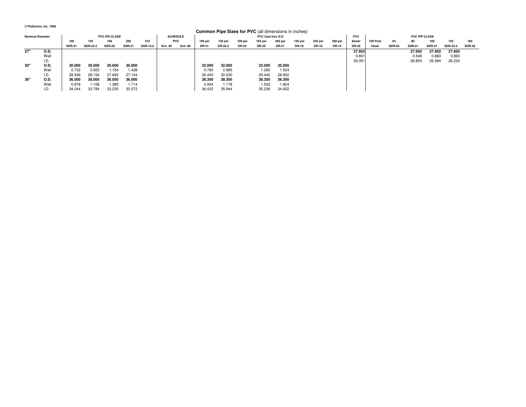|                         | <b>Common Pipe Sizes for PVC</b> (all dimensions in inches) |               |                 |                      |               |                 |                 |                |              |         |              |                    |              |              |              |              |            |          |               |                      |               |                 |               |
|-------------------------|-------------------------------------------------------------|---------------|-----------------|----------------------|---------------|-----------------|-----------------|----------------|--------------|---------|--------------|--------------------|--------------|--------------|--------------|--------------|------------|----------|---------------|----------------------|---------------|-----------------|---------------|
| <b>Nominal Diameter</b> |                                                             |               |                 | <b>PVC IPS CLASS</b> |               |                 | <b>SCHEDULE</b> |                |              |         |              | PVC Cast Iron O.D. |              |              |              |              | <b>PVC</b> |          |               | <b>PVC PIP CLASS</b> |               |                 |               |
|                         |                                                             | 100           | 125             | 160                  | 200           | 315             | <b>PVC</b>      |                | 100 psi      | 125 psi | 100 psi      | 165 psi            | 200 psi      | 150 psi      | 235 psi      | 200 psi      | Sewer      | 100 Foot | 63            | 80                   | 100           | 125             | 160           |
|                         |                                                             | <b>SDR-41</b> | <b>SDR-32.5</b> | <b>SDR-26</b>        | <b>SDR-21</b> | <b>SDR-13.5</b> | <b>Sch. 40</b>  | <b>Sch. 80</b> | <b>DR-41</b> | DR-32.5 | <b>DR-25</b> | <b>DR-25</b>       | <b>DR-21</b> | <b>DR-18</b> | <b>DR-18</b> | <b>DR-14</b> | DR-35      | Head     | <b>SDR-64</b> | <b>SDR-51</b>        | <b>SDR-41</b> | <b>SDR-32.5</b> | <b>SDR-26</b> |
| 27"                     | O.D.                                                        |               |                 |                      |               |                 |                 |                |              |         |              |                    |              |              |              |              | 27.953     |          |               | 27.950               | 27.950        | 27.950          |               |
|                         | Wall                                                        |               |                 |                      |               |                 |                 |                |              |         |              |                    |              |              |              |              | 0.801      |          |               | 0.548                | 0.683         | 0.863           |               |
|                         | I.D.                                                        |               |                 |                      |               |                 |                 |                |              |         |              |                    |              |              |              |              | 26.351     |          |               | 26.854               | 26.584        | 26.224          |               |
| 30"                     | O.D.                                                        | 30.000        | 30.000          | 30.000               | 30.000        |                 |                 |                | 32.000       | 32.000  |              | 32.000             | 32.000       |              |              |              |            |          |               |                      |               |                 |               |
|                         | Wall                                                        | 0.732         | 0.923           | 1.154                | 1.428         |                 |                 |                | 0.780        | 0.985   |              | 1.280              | 1.524        |              |              |              |            |          |               |                      |               |                 |               |
|                         | I.D.                                                        | 28.536        | 28.154          | 27.692               | 27.144        |                 |                 |                | 30.440       | 30.030  |              | 29.440             | 28.952       |              |              |              |            |          |               |                      |               |                 |               |
| 36"                     | O.D.                                                        | 36.000        | 36.000          | 36,000               | 36.000        |                 |                 |                | 38.300       | 38.300  |              | 38.300             | 38.300       |              |              |              |            |          |               |                      |               |                 |               |
|                         | Wall                                                        | 0.878         | 1.108           | 1.385                | 1.714         |                 |                 |                | 0.934        | 1.178   |              | 1.532              | 1.824        |              |              |              |            |          |               |                      |               |                 |               |
|                         | I.D.                                                        | 34.244        | 33.784          | 33.230               | 32.572        |                 |                 |                | 36.432       | 35.944  |              | 35.236             | 34.652       |              |              |              |            |          |               |                      |               |                 |               |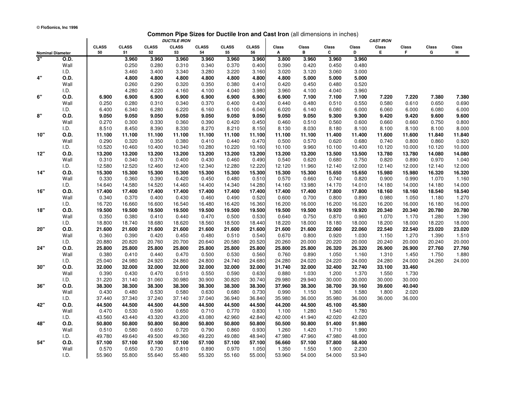### **Common Pipe Sizes for Ductile Iron and Cast Iron** (all dimensions in inches)

|                  |                         |                    |                    |                    | <b>DUCTILE IRON</b> |                    |                    |                    |            |            |            |            | <b>CAST IRON</b> |             |            |            |
|------------------|-------------------------|--------------------|--------------------|--------------------|---------------------|--------------------|--------------------|--------------------|------------|------------|------------|------------|------------------|-------------|------------|------------|
|                  | <b>Nominal Diameter</b> | <b>CLASS</b><br>50 | <b>CLASS</b><br>51 | <b>CLASS</b><br>52 | <b>CLASS</b><br>53  | <b>CLASS</b><br>54 | <b>CLASS</b><br>55 | <b>CLASS</b><br>56 | Class<br>А | Class<br>в | Class<br>C | Class<br>D | Class<br>Е       | Class<br>F. | Class<br>G | Class<br>н |
| $\overline{3}$ " | O.D.                    |                    | 3.960              | 3.960              | 3.960               | 3.960              | 3.960              | 3.960              | 3.800      | 3.960      | 3.960      | 3.960      |                  |             |            |            |
|                  | Wall                    |                    | 0.250              | 0.280              | 0.310               | 0.340              | 0.370              | 0.400              | 0.390      | 0.420      | 0.450      | 0.480      |                  |             |            |            |
|                  | I.D.                    |                    | 3.460              | 3.400              | 3.340               | 3.280              | 3.220              | 3.160              | 3.020      | 3.120      | 3.060      | 3.000      |                  |             |            |            |
| 4"               | O.D.                    |                    | 4.800              | 4.800              | 4.800               | 4.800              | 4.800              | 4.800              | 4.800      | 5.000      | 5.000      | 5.000      |                  |             |            |            |
|                  | Wall                    |                    | 0.260              | 0.290              | 0.320               | 0.350              | 0.380              | 0.410              | 0.420      | 0.450      | 0.480      | 0.520      |                  |             |            |            |
|                  | I.D.                    |                    | 4.280              | 4.220              | 4.160               | 4.100              | 4.040              | 3.980              | 3.960      | 4.100      | 4.040      | 3.960      |                  |             |            |            |
| 6"               | O.D.                    | 6.900              | 6.900              | 6.900              | 6.900               | 6.900              | 6.900              | 6.900              | 6.900      | 7.100      | 7.100      | 7.100      | 7.220            | 7.220       | 7.380      | 7.380      |
|                  | Wall                    | 0.250              | 0.280              | 0.310              | 0.340               | 0.370              | 0.400              | 0.430              | 0.440      | 0.480      | 0.510      | 0.550      | 0.580            | 0.610       | 0.650      | 0.690      |
|                  | I.D.                    | 6.400              | 6.340              | 6.280              | 6.220               | 6.160              | 6.100              | 6.040              | 6.020      | 6.140      | 6.080      | 6.000      | 6.060            | 6.000       | 6.080      | 6.000      |
| 8"               | O.D.                    | 9.050              | 9.050              | 9.050              | 9.050               | 9.050              | 9.050              | 9.050              | 9.050      | 9.050      | 9.300      | 9.300      | 9.420            | 9.420       | 9.600      | 9.600      |
|                  | Wall                    | 0.270              | 0.300              | 0.330              | 0.360               | 0.390              | 0.420              | 0.450              | 0.460      | 0.510      | 0.560      | 0.600      | 0.660            | 0.660       | 0.750      | 0.800      |
|                  | I.D.                    | 8.510              | 8.450              | 8.390              | 8.330               | 8.270              | 8.210              | 8.150              | 8.130      | 8.030      | 8.180      | 8.100      | 8.100            | 8.100       | 8.100      | 8.000      |
| 10"              | O.D.                    | 11.100             | 11.100             | 11.100             | 11.100              | 11.100             | 11.100             | 11.100             | 11.100     | 11.100     | 11.400     | 11.400     | 11.600           | 11.600      | 11.840     | 11.840     |
|                  | Wall                    | 0.290              | 0.320              | 0.350              | 0.380               | 0.410              | 0.440              | 0.470              | 0.500      | 0.570      | 0.620      | 0.680      | 0.740            | 0.800       | 0.860      | 0.920      |
|                  | I.D.                    | 10.520             | 10.460             | 10.400             | 10.340              | 10.280             | 10.220             | 10.160             | 10.100     | 9.960      | 10.100     | 10.400     | 10.120           | 10.000      | 10.120     | 10.000     |
| 12"              | O.D.                    | 13.200             | 13.200             | 13.200             | 13.200              | 13.200             | 13.200             | 13.200             | 13.200     | 13.200     | 13.500     | 13.500     | 13.780           | 13.780      | 14.080     | 14.080     |
|                  | Wall                    | 0.310              | 0.340              | 0.370              | 0.400               | 0.430              | 0.460              | 0.490              | 0.540      | 0.620      | 0.680      | 0.750      | 0.820            | 0.890       | 0.970      | 1.040      |
|                  | I.D.                    | 12.580             | 12.520             | 12.460             | 12.400              | 12.340             | 12.280             | 12.220             | 12.120     | 11.960     | 12.140     | 12.000     | 12.140           | 12.000      | 12.140     | 12.000     |
| 14"              | O.D.                    | 15.300             | 15.300             | 15.300             | 15.300              | 15.300             | 15.300             | 15.300             | 15.300     | 15.300     | 15.650     | 15.650     | 15.980           | 15.980      | 16.320     | 16.320     |
|                  | Wall                    | 0.330              | 0.360              | 0.390              | 0.420               | 0.450              | 0.480              | 0.510              | 0.570      | 0.660      | 0.740      | 0.820      | 0.900            | 0.990       | 1.070      | 1.160      |
|                  | I.D.                    | 14.640             | 14.580             | 14.520             | 14.460              | 14.400             | 14.340             | 14.280             | 14.160     | 13.980     | 14.170     | 14.010     | 14.180           | 14.000      | 14.180     | 14.000     |
| 16"              | O.D.                    | 17.400             | 17.400             | 17.400             | 17.400              | 17.400             | 17.400             | 17.400             | 17.400     | 17.400     | 17.800     | 17.800     | 18.160           | 18.160      | 18.540     | 18.540     |
|                  | Wall                    | 0.340              | 0.370              | 0.400              | 0.430               | 0.460              | 0.490              | 0.520              | 0.600      | 0.700      | 0.800      | 0.890      | 0.980            | 1.050       | 1.180      | 1.270      |
|                  | I.D.                    | 16.720             | 16.660             | 16.600             | 16.540              | 16.480             | 16.420             | 16.360             | 16.200     | 16.000     | 16.200     | 16.020     | 16.200           | 16.000      | 16.180     | 16.000     |
| 18"              | O.D.                    | 19.500             | 19.500             | 19.500             | 19.500              | 19.500             | 19.500             | 19.500             | 19.500     | 19.500     | 19.920     | 19.920     | 20.340           | 20.340      | 20.780     | 20.780     |
|                  | Wall                    | 0.350              | 0.380              | 0.410              | 0.440               | 0.470              | 0.500              | 0.530              | 0.640      | 0.750      | 0.870      | 0.960      | 1.070            | 1.170       | 1.280      | 1.390      |
|                  | I.D.                    | 18.800             | 18.740             | 18.680             | 18.620              | 18.560             | 18.500             | 18.440             | 18.220     | 18.000     | 18.180     | 18.000     | 18.200           | 18.000      | 18.220     | 18.000     |
| 20"              | O.D.                    | 21.600             | 21.600             | 21.600             | 21.600              | 21.600             | 21.600             | 21.600             | 21.600     | 21.600     | 22.060     | 22.060     | 22.540           | 22.540      | 23.020     | 23.020     |
|                  | Wall                    | 0.360              | 0.390              | 0.420              | 0.450               | 0.480              | 0.510              | 0.540              | 0.670      | 0.800      | 0.920      | 1.030      | 1.150            | 1.270       | 1.390      | 1.510      |
|                  | I.D.                    | 20.880             | 20.820             | 20.760             | 20.700              | 20.640             | 20.580             | 20.520             | 20.260     | 20.000     | 20.220     | 20.000     | 20.240           | 20.000      | 20.240     | 20.000     |
| 24"              | O.D.                    | 25.800             | 25.800             | 25.800             | 25.800              | 25.800             | 25.800             | 25.800             | 25.800     | 25.800     | 26.320     | 26.320     | 26.900           | 26.900      | 27.760     | 27.760     |
|                  | Wall                    | 0.380              | 0.410              | 0.440              | 0.470               | 0.500              | 0.530              | 0.560              | 0.760      | 0.890      | 1.050      | 1.160      | 1.310            | 1.450       | 1.750      | 1.880      |
|                  | I.D.                    | 25.040             | 24.980             | 24.920             | 24.860              | 24.800             | 24.740             | 24.680             | 24.280     | 24.020     | 24.220     | 24.000     | 24.280           | 24.000      | 24.260     | 24.000     |
| 30"              | O.D.                    | 32.000             | 32.000             | 32.000             | 32.000              | 32.000             | 32.000             | 32.000             | 31.740     | 32.000     | 32.400     | 32.740     | 33.100           | 33.460      |            |            |
|                  | Wall                    | 0.390              | 0.430              | 0.470              | 0.510               | 0.550              | 0.590              | 0.630              | 0.880      | 1.030      | 1.200      | 1.370      | 1.550            | 1.730       |            |            |
|                  | I.D.                    | 31.220             | 31.140             | 31.060             | 30.980              | 30.900             | 30.820             | 30.740             | 29.980     | 29.940     | 30.000     | 30.000     | 30.000           | 30.000      |            |            |
| 36"              | O.D.                    | 38.300             | 38.300             | 38.300             | 38.300              | 38.300             | 38.300             | 38.300             | 37.960     | 38.300     | 38.700     | 39.160     | 39.600           | 40.040      |            |            |
|                  | Wall                    | 0.430              | 0.480              | 0.530              | 0.580               | 0.630              | 0.680              | 0.730              | 0.990      | 1.150      | 1.360      | 1.580      | 1.800            | 2.020       |            |            |
|                  | I.D.                    | 37.440             | 37.340             | 37.240             | 37.140              | 37.040             | 36.940             | 36.840             | 35.980     | 36.000     | 35.980     | 36.000     | 36.000           | 36.000      |            |            |
| 42"              | O.D.                    | 44.500             | 44.500             | 44.500             | 44.500              | 44.500             | 44.500             | 44.500             | 44.200     | 44.500     | 45.100     | 45.580     |                  |             |            |            |
|                  | Wall                    | 0.470              | 0.530              | 0.590              | 0.650               | 0.710              | 0.770              | 0.830              | 1.100      | 1.280      | 1.540      | 1.780      |                  |             |            |            |
|                  | I.D.                    | 43.560             | 43.440             | 43.320             | 43.200              | 43.080             | 42.960             | 42.840             | 42.000     | 41.940     | 42.020     | 42.020     |                  |             |            |            |
| 48"              | O.D.                    | 50.800             | 50.800             | 50.800             | 50.800              | 50.800             | 50.800             | 50.800             | 50.500     | 50.800     | 51.400     | 51.980     |                  |             |            |            |
|                  | Wall                    | 0.510              | 0.580              | 0.650              | 0.720               | 0.790              | 0.860              | 0.930              | 1.260      | 1.420      | 1.710      | 1.990      |                  |             |            |            |
|                  | I.D.                    | 49.780             | 49.640             | 49.500             | 49.360              | 49.220             | 49.080             | 48.940             | 47.980     | 47.960     | 47.980     | 48.000     |                  |             |            |            |
| 54"              | O.D.                    | 57.100             | 57.100             | 57.100             | 57.100              | 57.100             | 57.100             | 57.100             | 56.660     | 57.100     | 57.800     | 58.400     |                  |             |            |            |
|                  | Wall                    | 0.570              | 0.650              | 0.730              | 0.810               | 0.890              | 0.970              | 1.050              | 1.350      | 1.550      | 1.900      | 2.230      |                  |             |            |            |
|                  | I.D.                    | 55.960             | 55.800             | 55.640             | 55.480              | 55.320             | 55.160             | 55.000             | 53.960     | 54.000     | 54.000     | 53.940     |                  |             |            |            |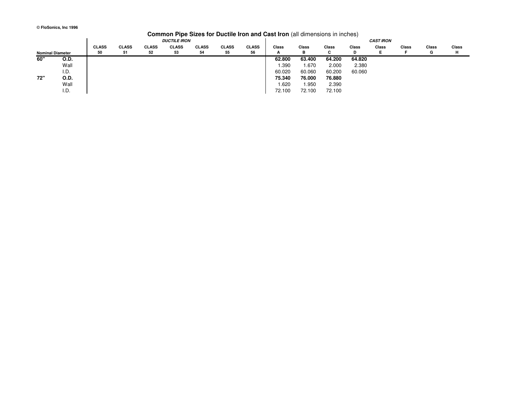### **Common Pipe Sizes for Ductile Iron and Cast Iron** (all dimensions in inches)

|                         | COMMUNITY PIDE SIZES TOT DUCTILE HON AND CAST HON TAIL UNITED SIGNS IN INCHEST |                     |              |              |              |              |              |              |        |                  |        |        |       |       |       |       |  |  |
|-------------------------|--------------------------------------------------------------------------------|---------------------|--------------|--------------|--------------|--------------|--------------|--------------|--------|------------------|--------|--------|-------|-------|-------|-------|--|--|
|                         |                                                                                | <b>DUCTILE IRON</b> |              |              |              |              |              |              |        | <b>CAST IRON</b> |        |        |       |       |       |       |  |  |
|                         |                                                                                | <b>CLASS</b>        | <b>CLASS</b> | <b>CLASS</b> | <b>CLASS</b> | <b>CLASS</b> | <b>CLASS</b> | <b>CLASS</b> | Class  | Class            | Class  | Class  | Class | Class | Class | Class |  |  |
| <b>Nominal Diameter</b> |                                                                                | 50                  | -51          | 52           | 53           | 54           | 55           | 56           | A      | в                | С      | D      |       |       | G     | н     |  |  |
| 60"                     | O.D.                                                                           |                     |              |              |              |              |              |              | 62.800 | 63.400           | 64.200 | 64.820 |       |       |       |       |  |  |
|                         | Wall                                                                           |                     |              |              |              |              |              |              | 1.390  | .670             | 2.000  | 2.380  |       |       |       |       |  |  |
|                         | I.D.                                                                           |                     |              |              |              |              |              |              | 60.020 | 60.060           | 60.200 | 60.060 |       |       |       |       |  |  |
| 72"                     | O.D.                                                                           |                     |              |              |              |              |              |              | 75.340 | 76.000           | 76.880 |        |       |       |       |       |  |  |
|                         | Wall                                                                           |                     |              |              |              |              |              |              | 1.620  | 1.950            | 2.390  |        |       |       |       |       |  |  |
|                         | I.D.                                                                           |                     |              |              |              |              |              |              | 72.100 | 72.100           | 72.100 |        |       |       |       |       |  |  |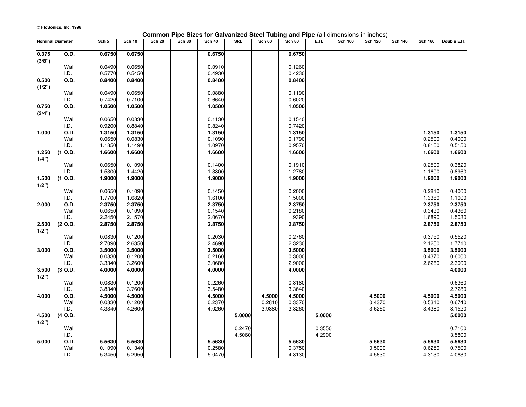### **Common Pipe Sizes for Galvanized Steel Tubing and Pipe** (all dimensions in inches)

| <b>Nominal Diameter</b> |           | Sch 5  | <b>Sch 10</b> | <b>Sch 20</b> | <b>Sch 30</b> | <b>Sch 40</b> | Std.   | <b>Sch 60</b> | <b>Sch 80</b> | E.H.   | <b>Sch 100</b> | <b>Sch 120</b> | <b>Sch 140</b> | <b>Sch 160</b> | Double E.H. |
|-------------------------|-----------|--------|---------------|---------------|---------------|---------------|--------|---------------|---------------|--------|----------------|----------------|----------------|----------------|-------------|
| 0.375                   | O.D.      | 0.6750 | 0.6750        |               |               | 0.6750        |        |               | 0.6750        |        |                |                |                |                |             |
| (3/8")                  |           |        |               |               |               |               |        |               |               |        |                |                |                |                |             |
|                         | Wall      | 0.0490 | 0.0650        |               |               | 0.0910        |        |               | 0.1260        |        |                |                |                |                |             |
|                         | I.D.      | 0.5770 | 0.5450        |               |               | 0.4930        |        |               | 0.4230        |        |                |                |                |                |             |
| 0.500                   | O.D.      | 0.8400 | 0.8400        |               |               | 0.8400        |        |               | 0.8400        |        |                |                |                |                |             |
| (1/2")                  |           |        |               |               |               |               |        |               |               |        |                |                |                |                |             |
|                         | Wall      | 0.0490 | 0.0650        |               |               | 0.0880        |        |               | 0.1190        |        |                |                |                |                |             |
|                         | I.D.      | 0.7420 | 0.7100        |               |               | 0.6640        |        |               | 0.6020        |        |                |                |                |                |             |
| 0.750                   | O.D.      | 1.0500 | 1.0500        |               |               | 1.0500        |        |               | 1.0500        |        |                |                |                |                |             |
| (3/4")                  |           |        |               |               |               |               |        |               |               |        |                |                |                |                |             |
|                         | Wall      | 0.0650 | 0.0830        |               |               | 0.1130        |        |               | 0.1540        |        |                |                |                |                |             |
|                         | I.D.      | 0.9200 | 0.8840        |               |               | 0.8240        |        |               | 0.7420        |        |                |                |                |                |             |
| 1.000                   | O.D.      | 1.3150 | 1.3150        |               |               | 1.3150        |        |               | 1.3150        |        |                |                |                | 1.3150         | 1.3150      |
|                         | Wall      | 0.0650 | 0.0830        |               |               | 0.1090        |        |               | 0.1790        |        |                |                |                | 0.2500         | 0.4000      |
|                         | I.D.      | 1.1850 | 1.1490        |               |               | 1.0970        |        |               | 0.9570        |        |                |                |                | 0.8150         | 0.5150      |
| 1.250                   | (1 O.D.   | 1.6600 | 1.6600        |               |               | 1.6600        |        |               | 1.6600        |        |                |                |                | 1.6600         | 1.6600      |
| 1/4"                    |           |        |               |               |               |               |        |               |               |        |                |                |                |                |             |
|                         | Wall      | 0.0650 | 0.1090        |               |               | 0.1400        |        |               | 0.1910        |        |                |                |                | 0.2500         | 0.3820      |
|                         | I.D.      | 1.5300 | 1.4420        |               |               | 1.3800        |        |               | 1.2780        |        |                |                |                | 1.1600         | 0.8960      |
| 1.500                   | (1 O.D.   | 1.9000 | 1.9000        |               |               | 1.9000        |        |               | 1.9000        |        |                |                |                | 1.9000         | 1.9000      |
| 1/2"                    |           |        |               |               |               |               |        |               |               |        |                |                |                |                |             |
|                         | Wall      | 0.0650 | 0.1090        |               |               | 0.1450        |        |               | 0.2000        |        |                |                |                | 0.2810         | 0.4000      |
|                         | I.D.      | 1.7700 | 1.6820        |               |               | 1.6100        |        |               | 1.5000        |        |                |                |                | 1.3380         | 1.1000      |
| 2.000                   | O.D.      | 2.3750 | 2.3750        |               |               | 2.3750        |        |               | 2.3750        |        |                |                |                | 2.3750         | 2.3750      |
|                         | Wall      | 0.0650 | 0.1090        |               |               | 0.1540        |        |               | 0.2180        |        |                |                |                | 0.3430         | 0.4360      |
|                         | I.D.      | 2.2450 | 2.1570        |               |               | 2.0670        |        |               | 1.9390        |        |                |                |                | 1.6890         | 1.5030      |
| 2.500                   | (2 O.D.   | 2.8750 | 2.8750        |               |               | 2.8750        |        |               | 2.8750        |        |                |                |                | 2.8750         | 2.8750      |
| 1/2"                    |           |        |               |               |               |               |        |               |               |        |                |                |                |                |             |
|                         | Wall      | 0.0830 | 0.1200        |               |               | 0.2030        |        |               | 0.2760        |        |                |                |                | 0.3750         | 0.5520      |
|                         | I.D.      | 2.7090 | 2.6350        |               |               | 2.4690        |        |               | 2.3230        |        |                |                |                | 2.1250         | 1.7710      |
| 3.000                   | O.D.      | 3.5000 | 3.5000        |               |               | 3.5000        |        |               | 3.5000        |        |                |                |                | 3.5000         | 3.5000      |
|                         | Wall      | 0.0830 | 0.1200        |               |               | 0.2160        |        |               | 0.3000        |        |                |                |                | 0.4370         | 0.6000      |
|                         | I.D.      | 3.3340 | 3.2600        |               |               | 3.0680        |        |               | 2.9000        |        |                |                |                | 2.6260         | 2.3000      |
| 3.500                   | $(3$ O.D. | 4.0000 | 4.0000        |               |               | 4.0000        |        |               | 4.0000        |        |                |                |                |                | 4.0000      |
| 1/2"                    |           |        |               |               |               |               |        |               |               |        |                |                |                |                |             |
|                         | Wall      | 0.0830 | 0.1200        |               |               | 0.2260        |        |               | 0.3180        |        |                |                |                |                | 0.6360      |
|                         | I.D.      | 3.8340 | 3.7600        |               |               | 3.5480        |        |               | 3.3640        |        |                |                |                |                | 2.7280      |
| 4.000                   | O.D.      | 4.5000 | 4.5000        |               |               | 4.5000        |        | 4.5000        | 4.5000        |        |                | 4.5000         |                | 4.5000         | 4.5000      |
|                         | Wall      | 0.0830 | 0.1200        |               |               | 0.2370        |        | 0.2810        | 0.3370        |        |                | 0.4370         |                | 0.5310         | 0.6740      |
|                         | I.D.      | 4.3340 | 4.2600        |               |               | 4.0260        |        | 3.9380        | 3.8260        |        |                | 3.6260         |                | 3.4380         | 3.1520      |
| 4.500                   | (4 O.D.   |        |               |               |               |               | 5.0000 |               |               | 5.0000 |                |                |                |                | 5.0000      |
| 1/2"                    |           |        |               |               |               |               |        |               |               |        |                |                |                |                |             |
|                         | Wall      |        |               |               |               |               | 0.2470 |               |               | 0.3550 |                |                |                |                | 0.7100      |
|                         | I.D.      |        |               |               |               |               | 4.5060 |               |               | 4.2900 |                |                |                |                | 3.5800      |
| 5.000                   | O.D.      | 5.5630 | 5.5630        |               |               | 5.5630        |        |               | 5.5630        |        |                | 5.5630         |                | 5.5630         | 5.5630      |
|                         | Wall      | 0.1090 | 0.1340        |               |               | 0.2580        |        |               | 0.3750        |        |                | 0.5000         |                | 0.6250         | 0.7500      |
|                         | I.D.      | 5.3450 | 5.2950        |               |               | 5.0470        |        |               | 4.8130        |        |                | 4.5630         |                | 4.3130         | 4.0630      |
|                         |           |        |               |               |               |               |        |               |               |        |                |                |                |                |             |